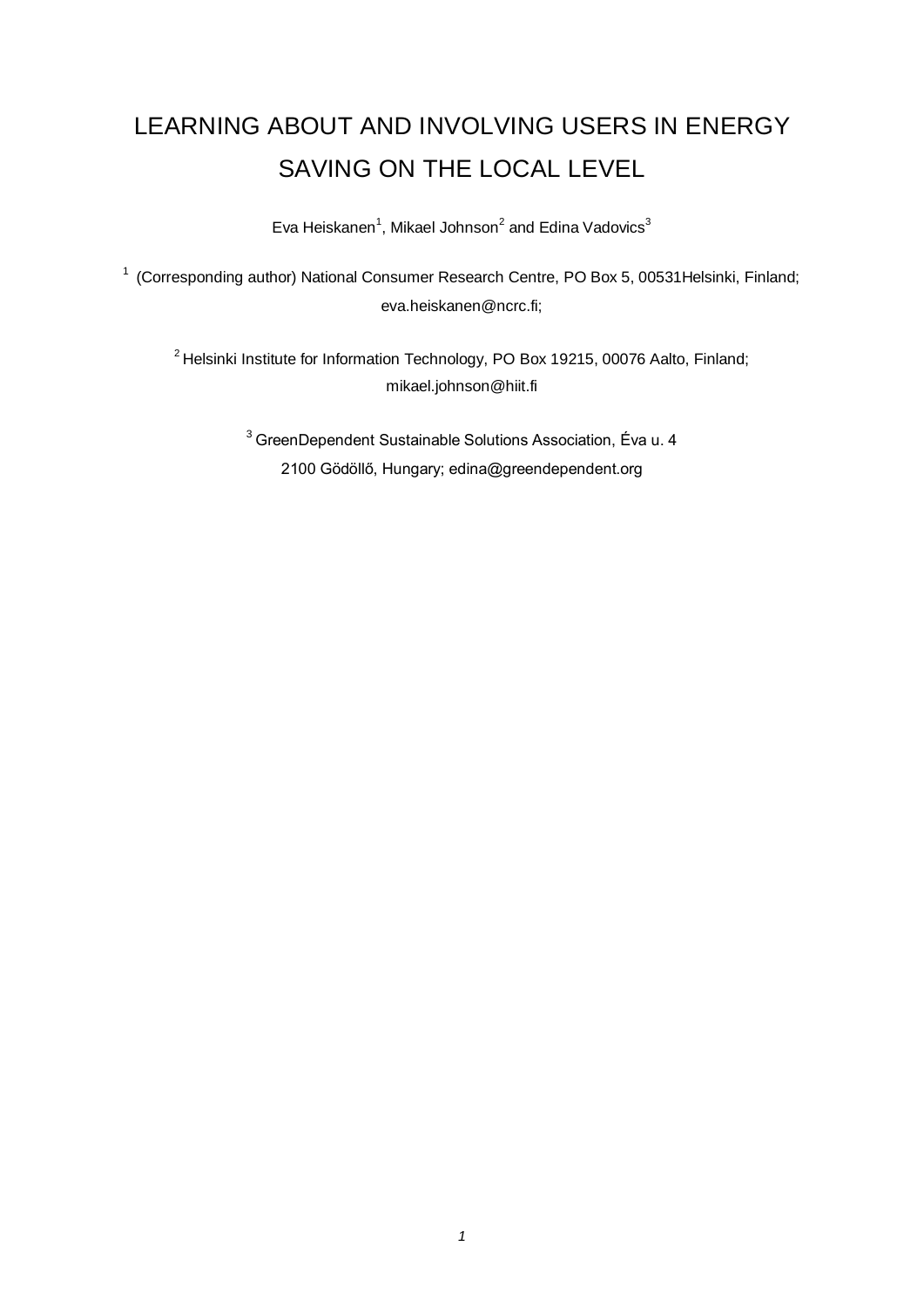# LEARNING ABOUT AND INVOLVING USERS IN ENERGY SAVING ON THE LOCAL LEVEL

Eva Heiskanen<sup>1</sup>, Mikael Johnson<sup>2</sup> and Edina Vadovics<sup>3</sup>

<sup>1</sup> (Corresponding author) National Consumer Research Centre, PO Box 5, 00531 Helsinki, Finland; eva.heiskanen@ncrc.fi;

<sup>2</sup> Helsinki Institute for Information Technology, PO Box 19215, 00076 Aalto, Finland; mikael.johnson@hiit.fi

> $3$  GreenDependent Sustainable Solutions Association, Éva u. 4 2100 Gödöllő, Hungary; edina@greendependent.org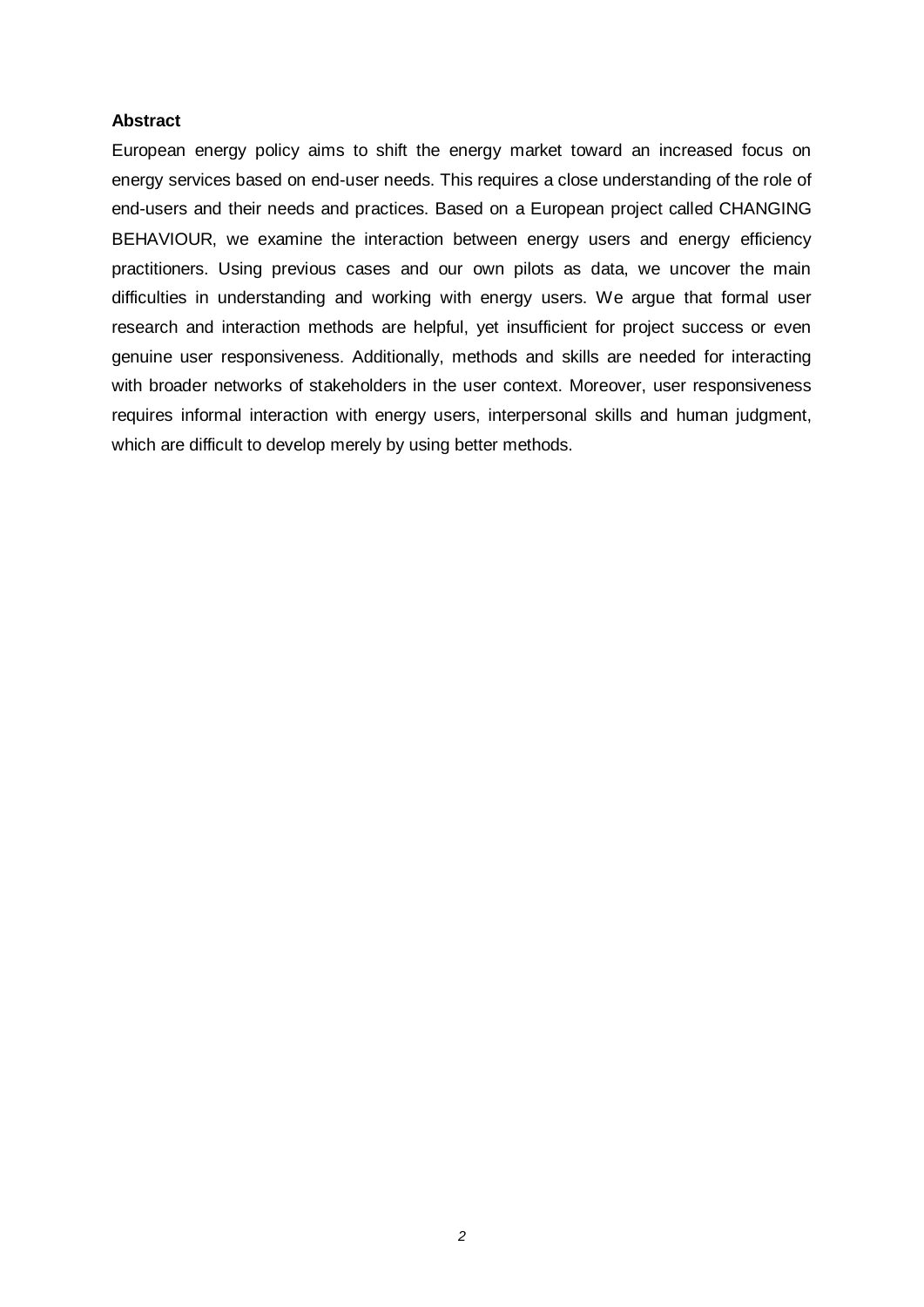#### **Abstract**

European energy policy aims to shift the energy market toward an increased focus on energy services based on end-user needs. This requires a close understanding of the role of end-users and their needs and practices. Based on a European project called CHANGING BEHAVIOUR, we examine the interaction between energy users and energy efficiency practitioners. Using previous cases and our own pilots as data, we uncover the main difficulties in understanding and working with energy users. We argue that formal user research and interaction methods are helpful, yet insufficient for project success or even genuine user responsiveness. Additionally, methods and skills are needed for interacting with broader networks of stakeholders in the user context. Moreover, user responsiveness requires informal interaction with energy users, interpersonal skills and human judgment, which are difficult to develop merely by using better methods.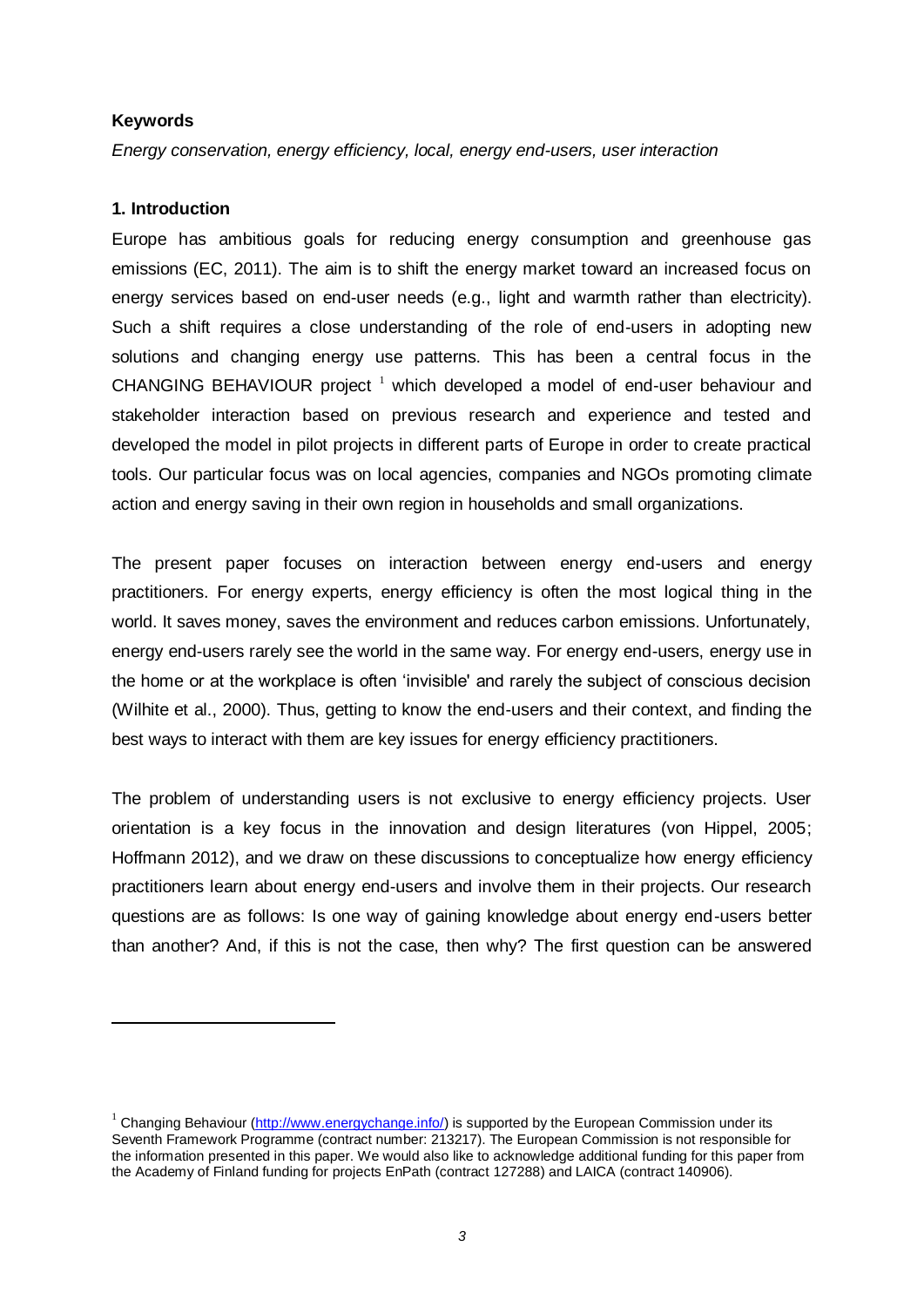#### **Keywords**

-

*Energy conservation, energy efficiency, local, energy end-users, user interaction*

### **1. Introduction**

Europe has ambitious goals for reducing energy consumption and greenhouse gas emissions (EC, 2011). The aim is to shift the energy market toward an increased focus on energy services based on end-user needs (e.g., light and warmth rather than electricity). Such a shift requires a close understanding of the role of end-users in adopting new solutions and changing energy use patterns. This has been a central focus in the CHANGING BEHAVIOUR project  $1$  which developed a model of end-user behaviour and stakeholder interaction based on previous research and experience and tested and developed the model in pilot projects in different parts of Europe in order to create practical tools. Our particular focus was on local agencies, companies and NGOs promoting climate action and energy saving in their own region in households and small organizations.

The present paper focuses on interaction between energy end-users and energy practitioners. For energy experts, energy efficiency is often the most logical thing in the world. It saves money, saves the environment and reduces carbon emissions. Unfortunately, energy end-users rarely see the world in the same way. For energy end-users, energy use in the home or at the workplace is often 'invisible' and rarely the subject of conscious decision (Wilhite et al., 2000). Thus, getting to know the end-users and their context, and finding the best ways to interact with them are key issues for energy efficiency practitioners.

The problem of understanding users is not exclusive to energy efficiency projects. User orientation is a key focus in the innovation and design literatures (von Hippel, 2005; Hoffmann 2012), and we draw on these discussions to conceptualize how energy efficiency practitioners learn about energy end-users and involve them in their projects. Our research questions are as follows: Is one way of gaining knowledge about energy end-users better than another? And, if this is not the case, then why? The first question can be answered

<sup>&</sup>lt;sup>1</sup> Changing Behaviour [\(http://www.energychange.info/\)](http://www.energychange.info/) is supported by the European Commission under its Seventh Framework Programme (contract number: 213217). The European Commission is not responsible for the information presented in this paper. We would also like to acknowledge additional funding for this paper from the Academy of Finland funding for projects EnPath (contract 127288) and LAICA (contract 140906).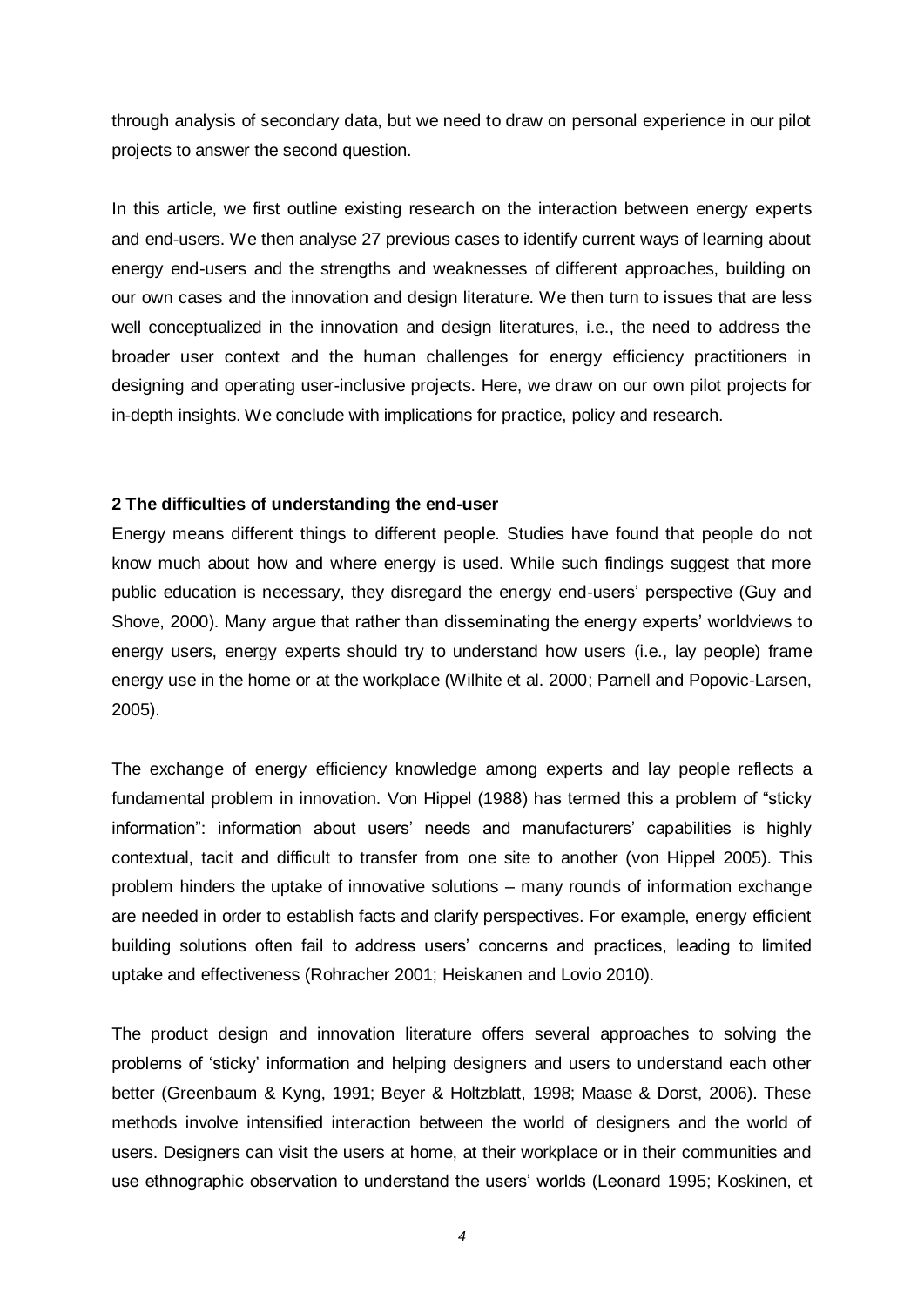through analysis of secondary data, but we need to draw on personal experience in our pilot projects to answer the second question.

In this article, we first outline existing research on the interaction between energy experts and end-users. We then analyse 27 previous cases to identify current ways of learning about energy end-users and the strengths and weaknesses of different approaches, building on our own cases and the innovation and design literature. We then turn to issues that are less well conceptualized in the innovation and design literatures, i.e., the need to address the broader user context and the human challenges for energy efficiency practitioners in designing and operating user-inclusive projects. Here, we draw on our own pilot projects for in-depth insights. We conclude with implications for practice, policy and research.

#### **2 The difficulties of understanding the end-user**

Energy means different things to different people. Studies have found that people do not know much about how and where energy is used. While such findings suggest that more public education is necessary, they disregard the energy end-users' perspective (Guy and Shove, 2000). Many argue that rather than disseminating the energy experts' worldviews to energy users, energy experts should try to understand how users (i.e., lay people) frame energy use in the home or at the workplace (Wilhite et al. 2000; Parnell and Popovic-Larsen, 2005).

The exchange of energy efficiency knowledge among experts and lay people reflects a fundamental problem in innovation. Von Hippel (1988) has termed this a problem of "sticky information": information about users' needs and manufacturers' capabilities is highly contextual, tacit and difficult to transfer from one site to another (von Hippel 2005). This problem hinders the uptake of innovative solutions – many rounds of information exchange are needed in order to establish facts and clarify perspectives. For example, energy efficient building solutions often fail to address users' concerns and practices, leading to limited uptake and effectiveness (Rohracher 2001; Heiskanen and Lovio 2010).

The product design and innovation literature offers several approaches to solving the problems of 'sticky' information and helping designers and users to understand each other better (Greenbaum & Kyng, 1991; Beyer & Holtzblatt, 1998; Maase & Dorst, 2006). These methods involve intensified interaction between the world of designers and the world of users. Designers can visit the users at home, at their workplace or in their communities and use ethnographic observation to understand the users' worlds (Leonard 1995; Koskinen, et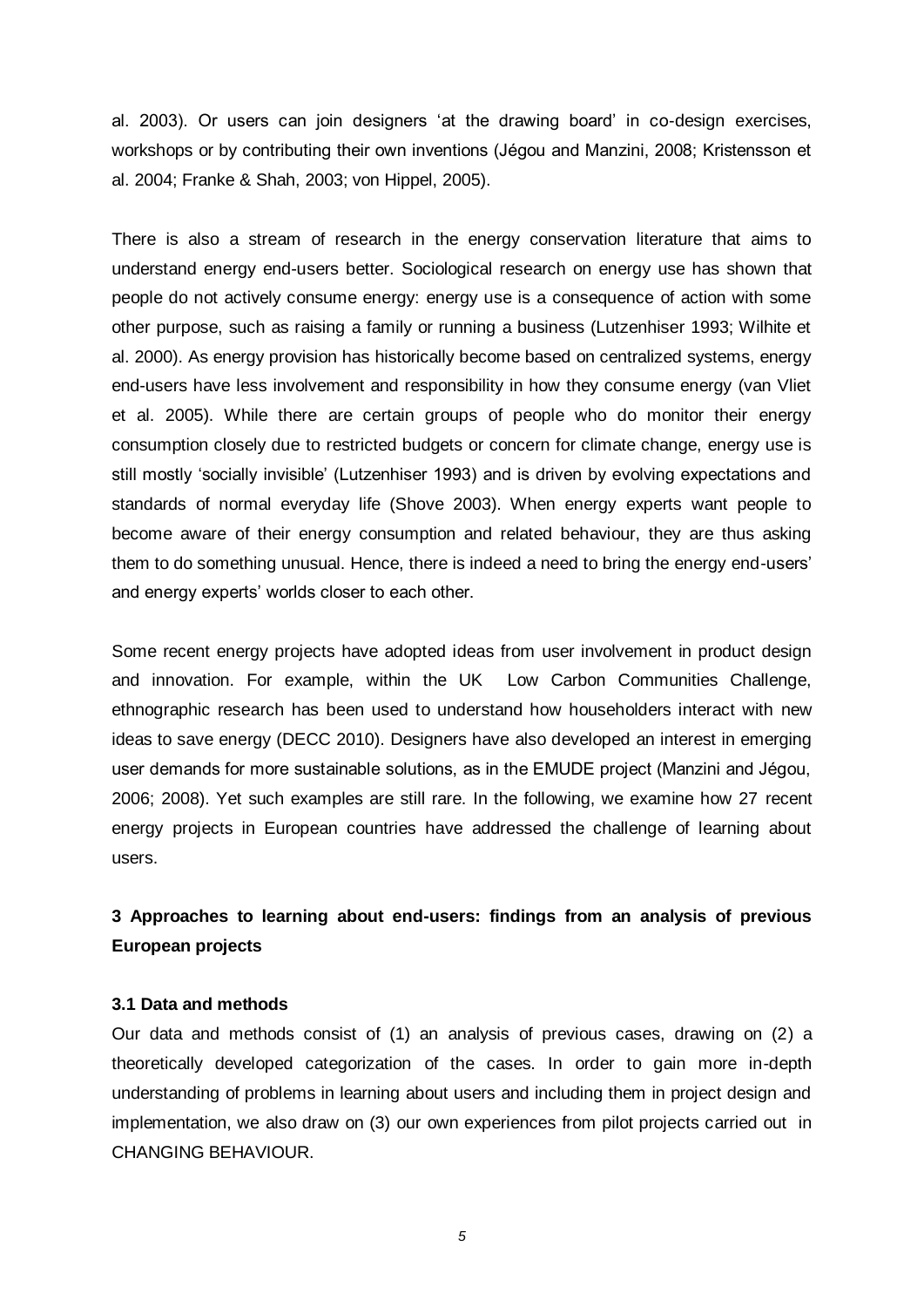al. 2003). Or users can join designers 'at the drawing board' in co-design exercises, workshops or by contributing their own inventions (Jégou and Manzini, 2008; Kristensson et al. 2004; Franke & Shah, 2003; von Hippel, 2005).

There is also a stream of research in the energy conservation literature that aims to understand energy end-users better. Sociological research on energy use has shown that people do not actively consume energy: energy use is a consequence of action with some other purpose, such as raising a family or running a business (Lutzenhiser 1993; Wilhite et al. 2000). As energy provision has historically become based on centralized systems, energy end-users have less involvement and responsibility in how they consume energy (van Vliet et al. 2005). While there are certain groups of people who do monitor their energy consumption closely due to restricted budgets or concern for climate change, energy use is still mostly 'socially invisible' (Lutzenhiser 1993) and is driven by evolving expectations and standards of normal everyday life (Shove 2003). When energy experts want people to become aware of their energy consumption and related behaviour, they are thus asking them to do something unusual. Hence, there is indeed a need to bring the energy end-users' and energy experts' worlds closer to each other.

Some recent energy projects have adopted ideas from user involvement in product design and innovation. For example, within the UK Low Carbon Communities Challenge, ethnographic research has been used to understand how householders interact with new ideas to save energy (DECC 2010). Designers have also developed an interest in emerging user demands for more sustainable solutions, as in the EMUDE project (Manzini and Jégou, 2006; 2008). Yet such examples are still rare. In the following, we examine how 27 recent energy projects in European countries have addressed the challenge of learning about users.

# **3 Approaches to learning about end-users: findings from an analysis of previous European projects**

#### **3.1 Data and methods**

Our data and methods consist of (1) an analysis of previous cases, drawing on (2) a theoretically developed categorization of the cases. In order to gain more in-depth understanding of problems in learning about users and including them in project design and implementation, we also draw on (3) our own experiences from pilot projects carried out in CHANGING BEHAVIOUR.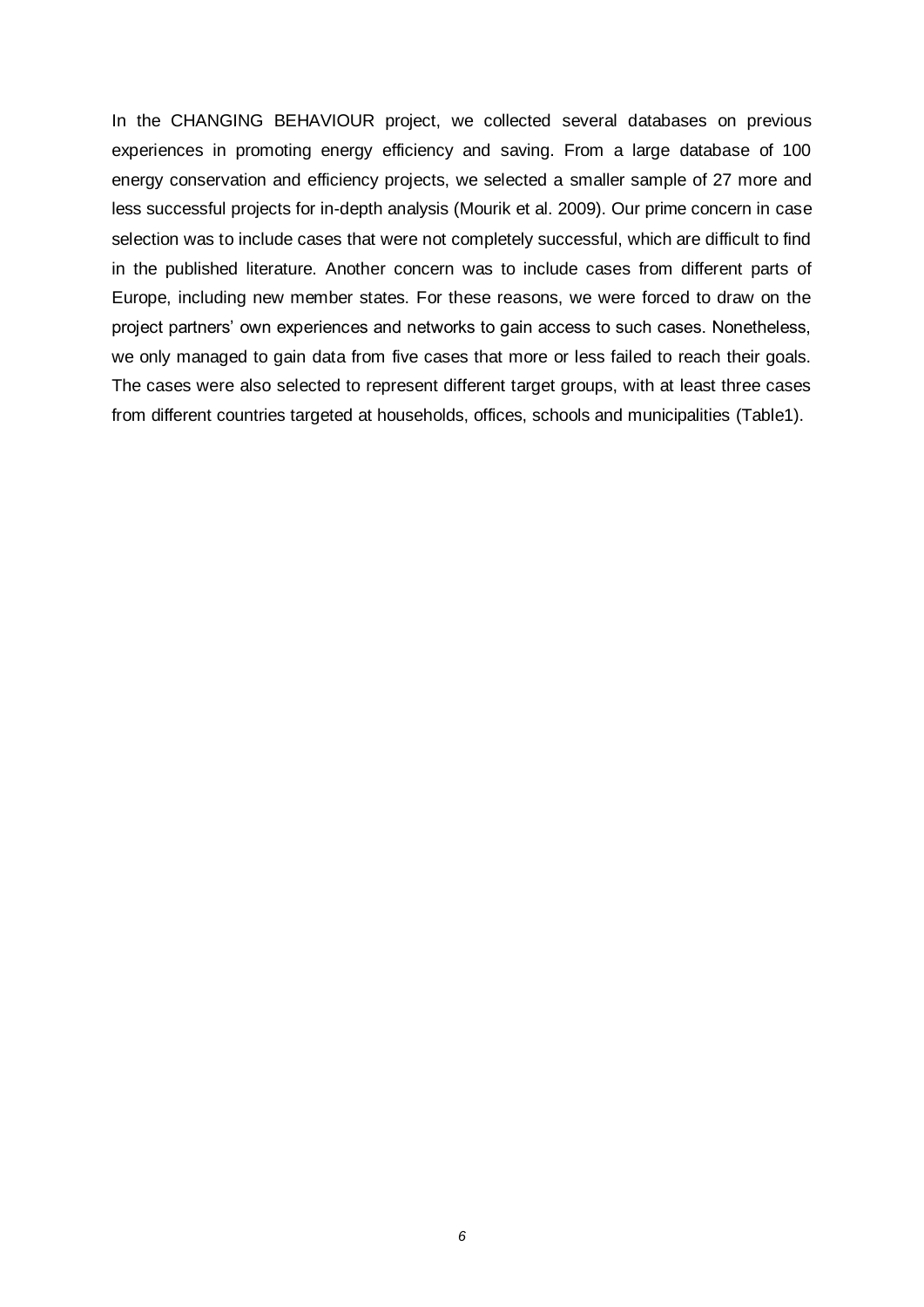In the CHANGING BEHAVIOUR project, we collected several databases on previous experiences in promoting energy efficiency and saving. From a large database of 100 energy conservation and efficiency projects, we selected a smaller sample of 27 more and less successful projects for in-depth analysis (Mourik et al. 2009). Our prime concern in case selection was to include cases that were not completely successful, which are difficult to find in the published literature. Another concern was to include cases from different parts of Europe, including new member states. For these reasons, we were forced to draw on the project partners' own experiences and networks to gain access to such cases. Nonetheless, we only managed to gain data from five cases that more or less failed to reach their goals. The cases were also selected to represent different target groups, with at least three cases from different countries targeted at households, offices, schools and municipalities (Table1).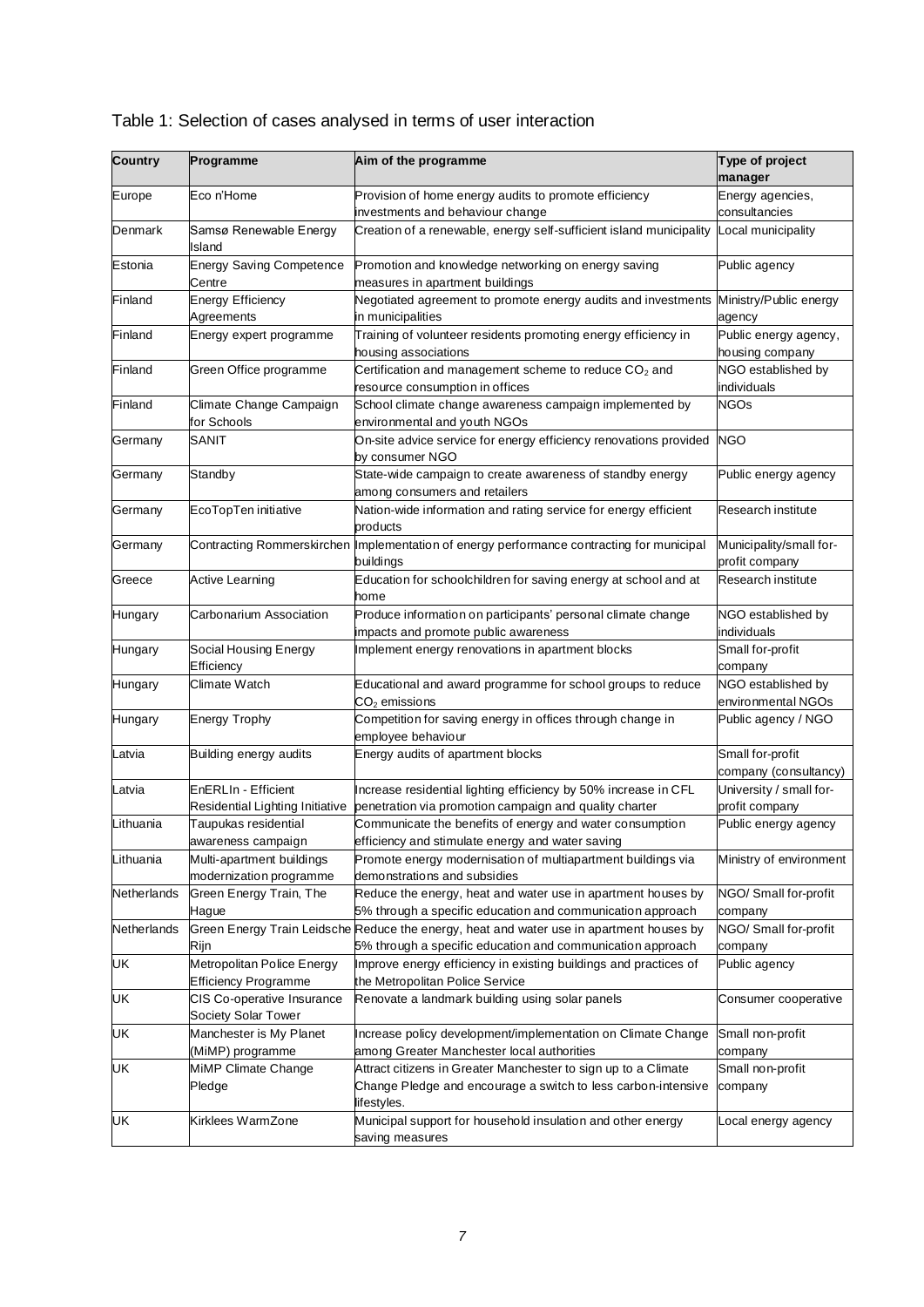| <b>Country</b> | Programme                                                 | Aim of the programme                                                                                                                                   | Type of project<br>manager                |
|----------------|-----------------------------------------------------------|--------------------------------------------------------------------------------------------------------------------------------------------------------|-------------------------------------------|
| Europe         | Eco n'Home                                                | Provision of home energy audits to promote efficiency<br>investments and behaviour change                                                              | Energy agencies,<br>consultancies         |
| Denmark        | Samsø Renewable Energy<br>Island                          | Creation of a renewable, energy self-sufficient island municipality                                                                                    | Local municipality                        |
| Estonia        | <b>Energy Saving Competence</b><br>Centre                 | Promotion and knowledge networking on energy saving<br>measures in apartment buildings                                                                 | Public agency                             |
| Finland        | <b>Energy Efficiency</b><br>Agreements                    | Negotiated agreement to promote energy audits and investments<br>in municipalities                                                                     | Ministry/Public energy<br>agency          |
| Finland        | Energy expert programme                                   | Training of volunteer residents promoting energy efficiency in<br>housing associations                                                                 | Public energy agency,<br>housing company  |
| Finland        | Green Office programme                                    | Certification and management scheme to reduce $CO2$ and<br>resource consumption in offices                                                             | NGO established by<br>individuals         |
| Finland        | Climate Change Campaign<br>for Schools                    | School climate change awareness campaign implemented by<br>environmental and youth NGOs                                                                | NGOs                                      |
| Germany        | SANIT                                                     | On-site advice service for energy efficiency renovations provided<br>by consumer NGO                                                                   | NGO                                       |
| Germany        | Standby                                                   | State-wide campaign to create awareness of standby energy<br>among consumers and retailers                                                             | Public energy agency                      |
| Germany        | EcoTopTen initiative                                      | Nation-wide information and rating service for energy efficient<br>products                                                                            | Research institute                        |
| Germany        |                                                           | Contracting Rommerskirchen Implementation of energy performance contracting for municipal<br>buildings                                                 | Municipality/small for-<br>profit company |
| Greece         | Active Learning                                           | Education for schoolchildren for saving energy at school and at<br>home                                                                                | Research institute                        |
| Hungary        | Carbonarium Association                                   | Produce information on participants' personal climate change<br>impacts and promote public awareness                                                   | NGO established by<br>individuals         |
| Hungary        | Social Housing Energy<br>Efficiency                       | Implement energy renovations in apartment blocks                                                                                                       | Small for-profit<br>company               |
| Hungary        | Climate Watch                                             | Educational and award programme for school groups to reduce<br>$CO2$ emissions                                                                         | NGO established by<br>environmental NGOs  |
| Hungary        | <b>Energy Trophy</b>                                      | Competition for saving energy in offices through change in<br>employee behaviour                                                                       | Public agency / NGO                       |
| Latvia         | Building energy audits                                    | Energy audits of apartment blocks                                                                                                                      | Small for-profit<br>company (consultancy) |
| Latvia         | EnERLIn - Efficient<br>Residential Lighting Initiative    | Increase residential lighting efficiency by 50% increase in CFL<br>penetration via promotion campaign and quality charter                              | University / small for-<br>profit company |
| Lithuania      | Taupukas residential<br>awareness campaign                | Communicate the benefits of energy and water consumption<br>efficiency and stimulate energy and water saving                                           | Public energy agency                      |
| Lithuania      | Multi-apartment buildings<br>modernization programme      | Promote energy modernisation of multiapartment buildings via<br>demonstrations and subsidies                                                           | Ministry of environment                   |
| Netherlands    | Green Energy Train, The<br>Hague                          | Reduce the energy, heat and water use in apartment houses by<br>5% through a specific education and communication approach                             | NGO/ Small for-profit<br>company          |
| Netherlands    | Rijn                                                      | Green Energy Train Leidsche Reduce the energy, heat and water use in apartment houses by<br>5% through a specific education and communication approach | NGO/ Small for-profit<br>company          |
| UK             | Metropolitan Police Energy<br><b>Efficiency Programme</b> | Improve energy efficiency in existing buildings and practices of<br>the Metropolitan Police Service                                                    | Public agency                             |
| UK             | CIS Co-operative Insurance<br>Society Solar Tower         | Renovate a landmark building using solar panels                                                                                                        | Consumer cooperative                      |
| UK             | Manchester is My Planet<br>(MiMP) programme               | Increase policy development/implementation on Climate Change<br>among Greater Manchester local authorities                                             | Small non-profit<br>company               |
| UK             | MiMP Climate Change<br>Pledge                             | Attract citizens in Greater Manchester to sign up to a Climate<br>Change Pledge and encourage a switch to less carbon-intensive<br>lifestyles.         | Small non-profit<br>company               |
| UK             | Kirklees WarmZone                                         | Municipal support for household insulation and other energy<br>saving measures                                                                         | Local energy agency                       |

# Table 1: Selection of cases analysed in terms of user interaction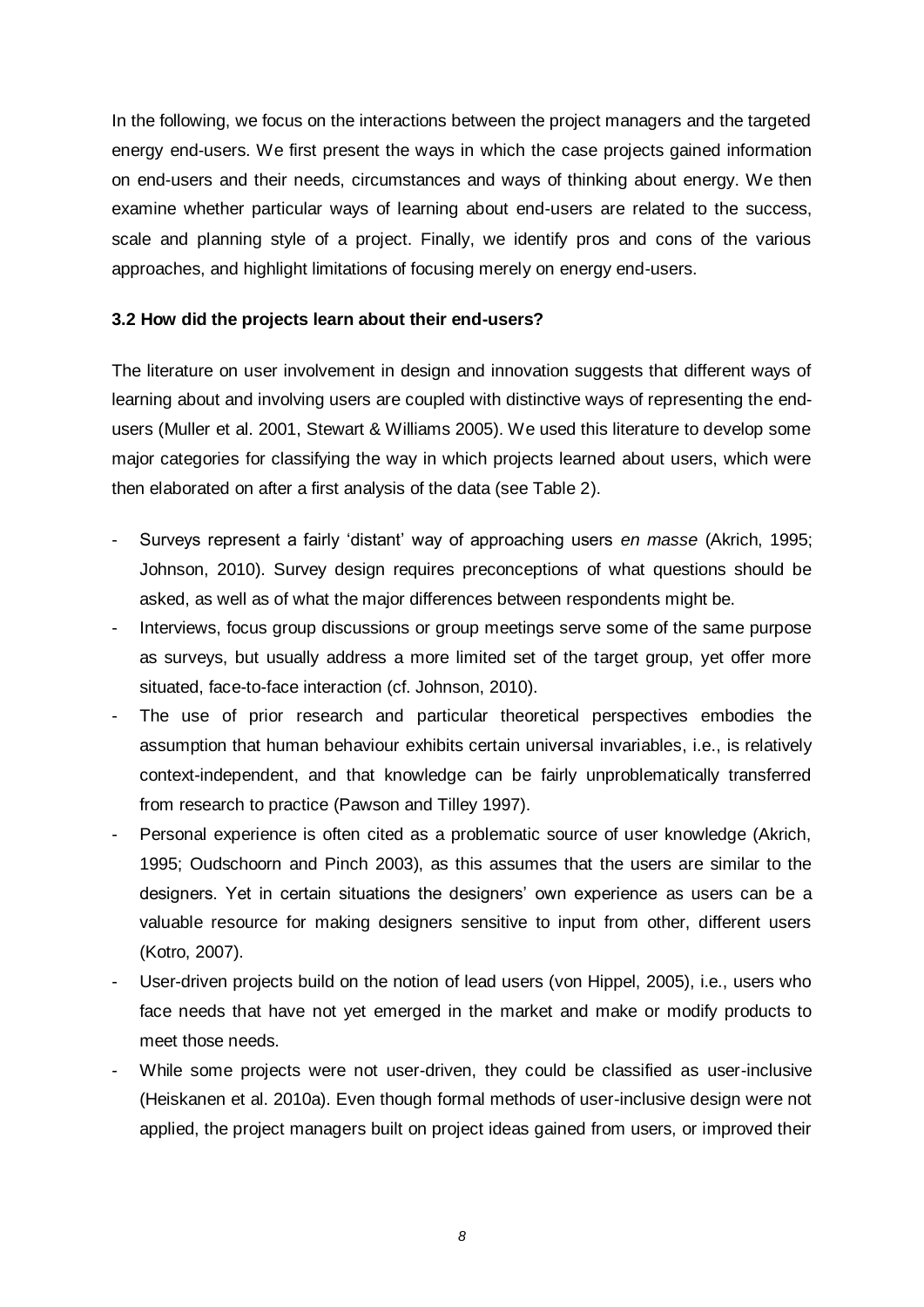In the following, we focus on the interactions between the project managers and the targeted energy end-users. We first present the ways in which the case projects gained information on end-users and their needs, circumstances and ways of thinking about energy. We then examine whether particular ways of learning about end-users are related to the success, scale and planning style of a project. Finally, we identify pros and cons of the various approaches, and highlight limitations of focusing merely on energy end-users.

# **3.2 How did the projects learn about their end-users?**

The literature on user involvement in design and innovation suggests that different ways of learning about and involving users are coupled with distinctive ways of representing the endusers (Muller et al. 2001, Stewart & Williams 2005). We used this literature to develop some major categories for classifying the way in which projects learned about users, which were then elaborated on after a first analysis of the data (see Table 2).

- Surveys represent a fairly 'distant' way of approaching users *en masse* (Akrich, 1995; Johnson, 2010). Survey design requires preconceptions of what questions should be asked, as well as of what the major differences between respondents might be.
- Interviews, focus group discussions or group meetings serve some of the same purpose as surveys, but usually address a more limited set of the target group, yet offer more situated, face-to-face interaction (cf. Johnson, 2010).
- The use of prior research and particular theoretical perspectives embodies the assumption that human behaviour exhibits certain universal invariables, i.e., is relatively context-independent, and that knowledge can be fairly unproblematically transferred from research to practice (Pawson and Tilley 1997).
- Personal experience is often cited as a problematic source of user knowledge (Akrich, 1995; Oudschoorn and Pinch 2003), as this assumes that the users are similar to the designers. Yet in certain situations the designers' own experience as users can be a valuable resource for making designers sensitive to input from other, different users (Kotro, 2007).
- User-driven projects build on the notion of lead users (von Hippel, 2005), i.e., users who face needs that have not yet emerged in the market and make or modify products to meet those needs.
- While some projects were not user-driven, they could be classified as user-inclusive (Heiskanen et al. 2010a). Even though formal methods of user-inclusive design were not applied, the project managers built on project ideas gained from users, or improved their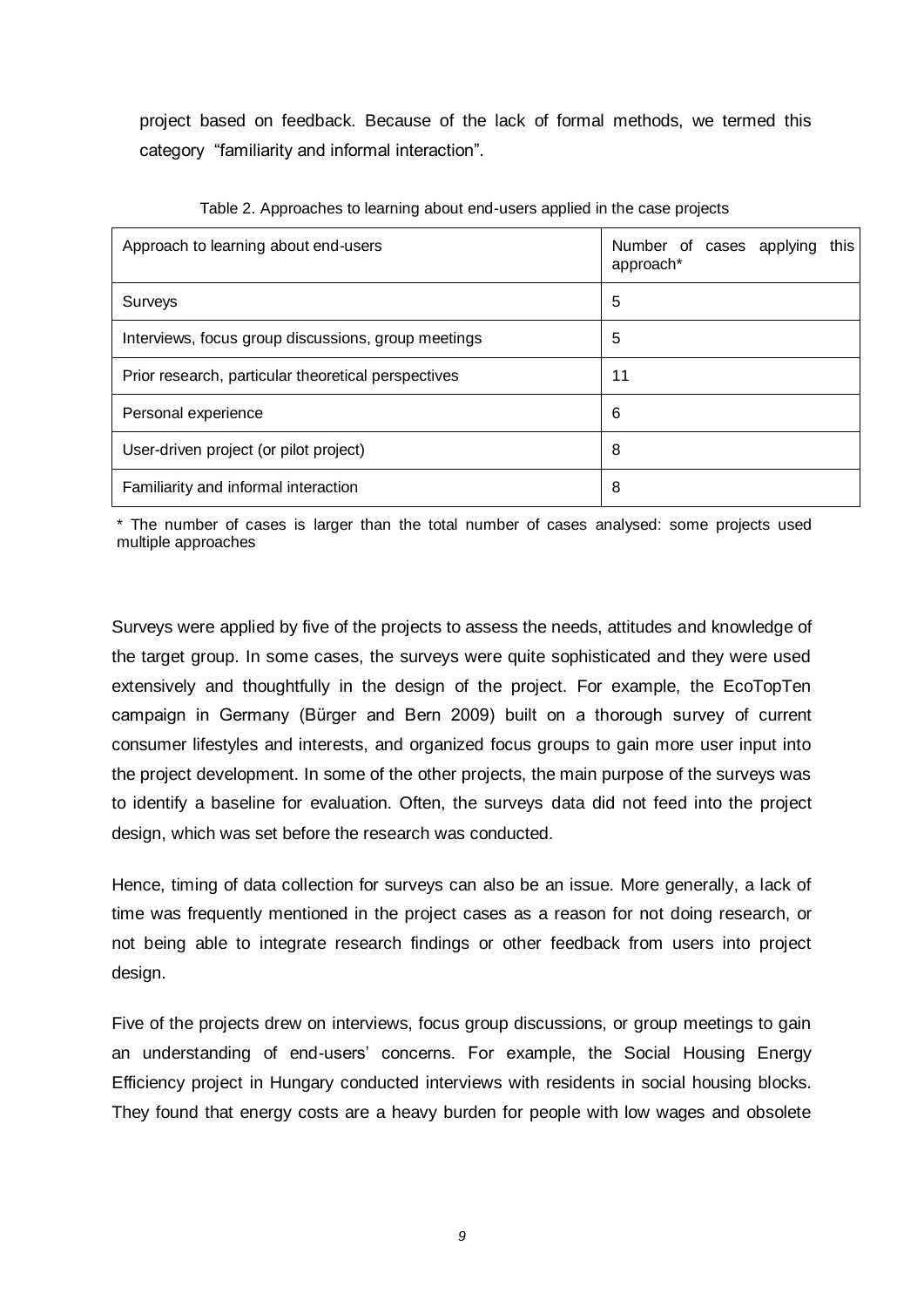project based on feedback. Because of the lack of formal methods, we termed this category "familiarity and informal interaction".

| Approach to learning about end-users                | Number of cases applying<br>this<br>approach* |
|-----------------------------------------------------|-----------------------------------------------|
| <b>Surveys</b>                                      | 5                                             |
| Interviews, focus group discussions, group meetings | 5                                             |
| Prior research, particular theoretical perspectives | 11                                            |
| Personal experience                                 | 6                                             |
| User-driven project (or pilot project)              | 8                                             |
| Familiarity and informal interaction                | 8                                             |

Table 2. Approaches to learning about end-users applied in the case projects

\* The number of cases is larger than the total number of cases analysed: some projects used multiple approaches

Surveys were applied by five of the projects to assess the needs, attitudes and knowledge of the target group. In some cases, the surveys were quite sophisticated and they were used extensively and thoughtfully in the design of the project. For example, the EcoTopTen campaign in Germany (Bürger and Bern 2009) built on a thorough survey of current consumer lifestyles and interests, and organized focus groups to gain more user input into the project development. In some of the other projects, the main purpose of the surveys was to identify a baseline for evaluation. Often, the surveys data did not feed into the project design, which was set before the research was conducted.

Hence, timing of data collection for surveys can also be an issue. More generally, a lack of time was frequently mentioned in the project cases as a reason for not doing research, or not being able to integrate research findings or other feedback from users into project design.

Five of the projects drew on interviews, focus group discussions, or group meetings to gain an understanding of end-users' concerns. For example, the Social Housing Energy Efficiency project in Hungary conducted interviews with residents in social housing blocks. They found that energy costs are a heavy burden for people with low wages and obsolete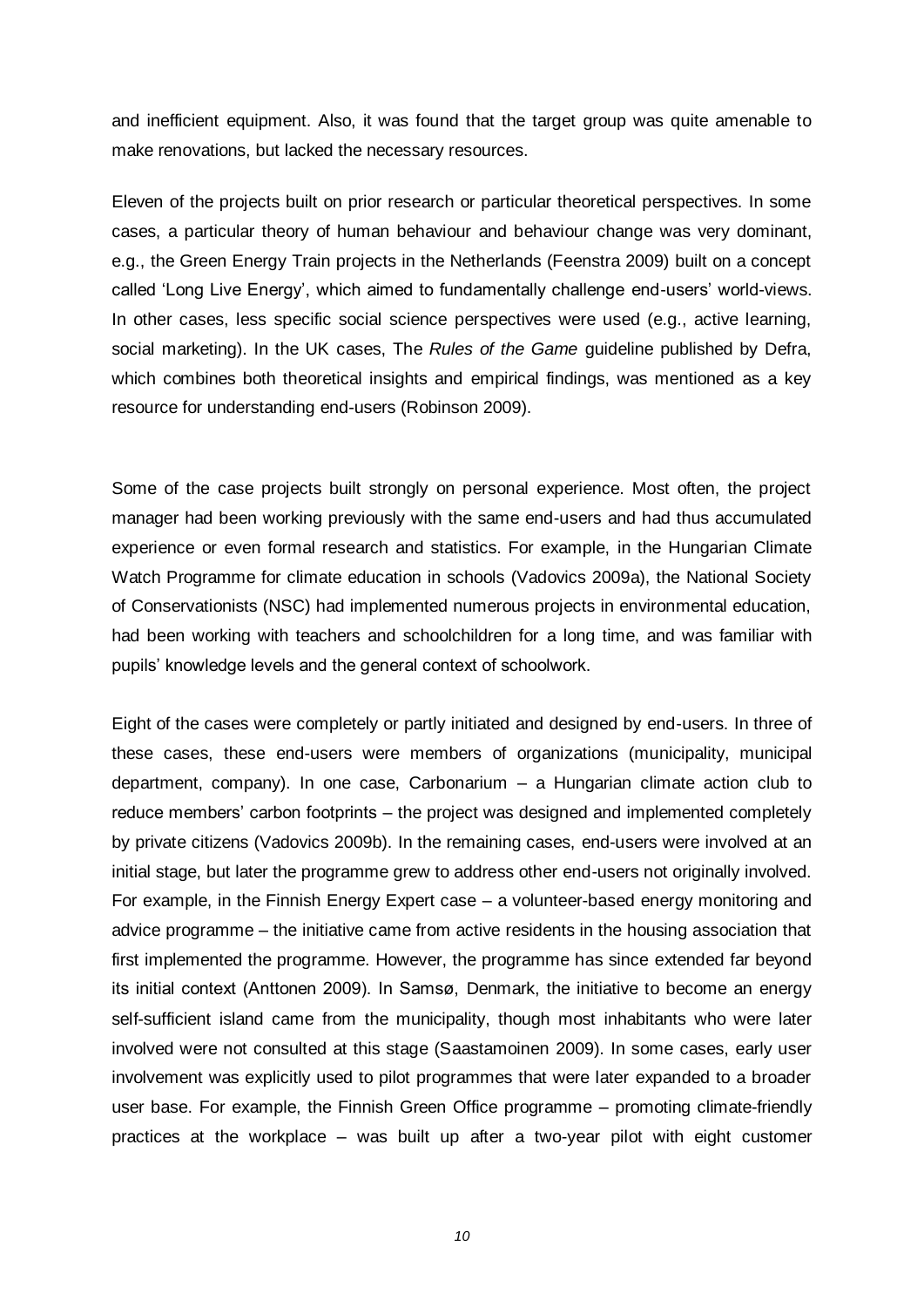and inefficient equipment. Also, it was found that the target group was quite amenable to make renovations, but lacked the necessary resources.

Eleven of the projects built on prior research or particular theoretical perspectives. In some cases, a particular theory of human behaviour and behaviour change was very dominant, e.g., the Green Energy Train projects in the Netherlands (Feenstra 2009) built on a concept called 'Long Live Energy', which aimed to fundamentally challenge end-users' world-views. In other cases, less specific social science perspectives were used (e.g., active learning, social marketing). In the UK cases, The *Rules of the Game* guideline published by Defra, which combines both theoretical insights and empirical findings, was mentioned as a key resource for understanding end-users (Robinson 2009).

Some of the case projects built strongly on personal experience. Most often, the project manager had been working previously with the same end-users and had thus accumulated experience or even formal research and statistics. For example, in the Hungarian Climate Watch Programme for climate education in schools (Vadovics 2009a), the National Society of Conservationists (NSC) had implemented numerous projects in environmental education, had been working with teachers and schoolchildren for a long time, and was familiar with pupils' knowledge levels and the general context of schoolwork.

Eight of the cases were completely or partly initiated and designed by end-users. In three of these cases, these end-users were members of organizations (municipality, municipal department, company). In one case, Carbonarium – a Hungarian climate action club to reduce members' carbon footprints – the project was designed and implemented completely by private citizens (Vadovics 2009b). In the remaining cases, end-users were involved at an initial stage, but later the programme grew to address other end-users not originally involved. For example, in the Finnish Energy Expert case – a volunteer-based energy monitoring and advice programme – the initiative came from active residents in the housing association that first implemented the programme. However, the programme has since extended far beyond its initial context (Anttonen 2009). In Samsø, Denmark, the initiative to become an energy self-sufficient island came from the municipality, though most inhabitants who were later involved were not consulted at this stage (Saastamoinen 2009). In some cases, early user involvement was explicitly used to pilot programmes that were later expanded to a broader user base. For example, the Finnish Green Office programme – promoting climate-friendly practices at the workplace – was built up after a two-year pilot with eight customer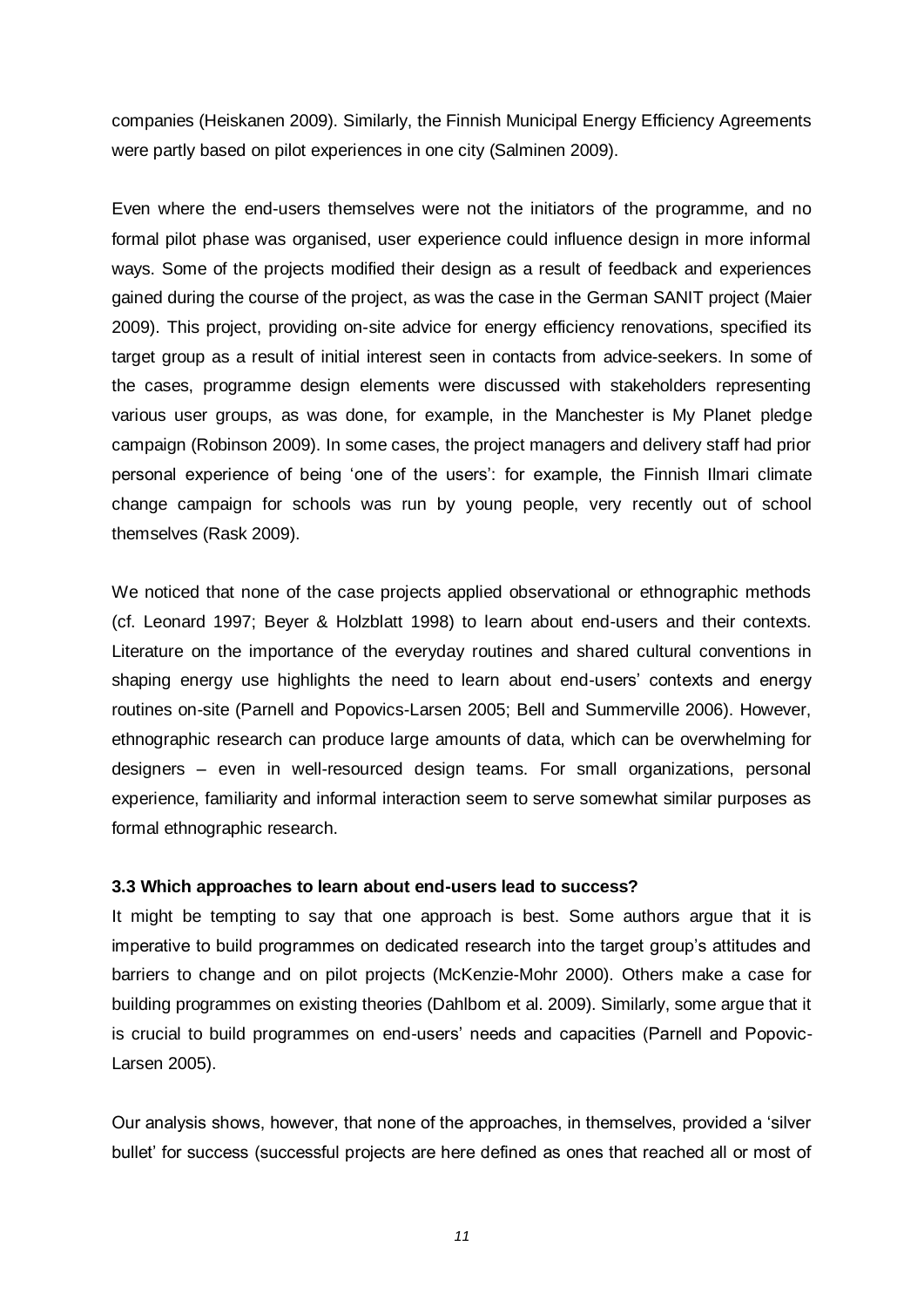companies (Heiskanen 2009). Similarly, the Finnish Municipal Energy Efficiency Agreements were partly based on pilot experiences in one city (Salminen 2009).

Even where the end-users themselves were not the initiators of the programme, and no formal pilot phase was organised, user experience could influence design in more informal ways. Some of the projects modified their design as a result of feedback and experiences gained during the course of the project, as was the case in the German SANIT project (Maier 2009). This project, providing on-site advice for energy efficiency renovations, specified its target group as a result of initial interest seen in contacts from advice-seekers. In some of the cases, programme design elements were discussed with stakeholders representing various user groups, as was done, for example, in the Manchester is My Planet pledge campaign (Robinson 2009). In some cases, the project managers and delivery staff had prior personal experience of being 'one of the users': for example, the Finnish Ilmari climate change campaign for schools was run by young people, very recently out of school themselves (Rask 2009).

We noticed that none of the case projects applied observational or ethnographic methods (cf. Leonard 1997; Beyer & Holzblatt 1998) to learn about end-users and their contexts. Literature on the importance of the everyday routines and shared cultural conventions in shaping energy use highlights the need to learn about end-users' contexts and energy routines on-site (Parnell and Popovics-Larsen 2005; Bell and Summerville 2006). However, ethnographic research can produce large amounts of data, which can be overwhelming for designers – even in well-resourced design teams. For small organizations, personal experience, familiarity and informal interaction seem to serve somewhat similar purposes as formal ethnographic research.

#### **3.3 Which approaches to learn about end-users lead to success?**

It might be tempting to say that one approach is best. Some authors argue that it is imperative to build programmes on dedicated research into the target group's attitudes and barriers to change and on pilot projects (McKenzie-Mohr 2000). Others make a case for building programmes on existing theories (Dahlbom et al. 2009). Similarly, some argue that it is crucial to build programmes on end-users' needs and capacities (Parnell and Popovic-Larsen 2005).

Our analysis shows, however, that none of the approaches, in themselves, provided a 'silver bullet' for success (successful projects are here defined as ones that reached all or most of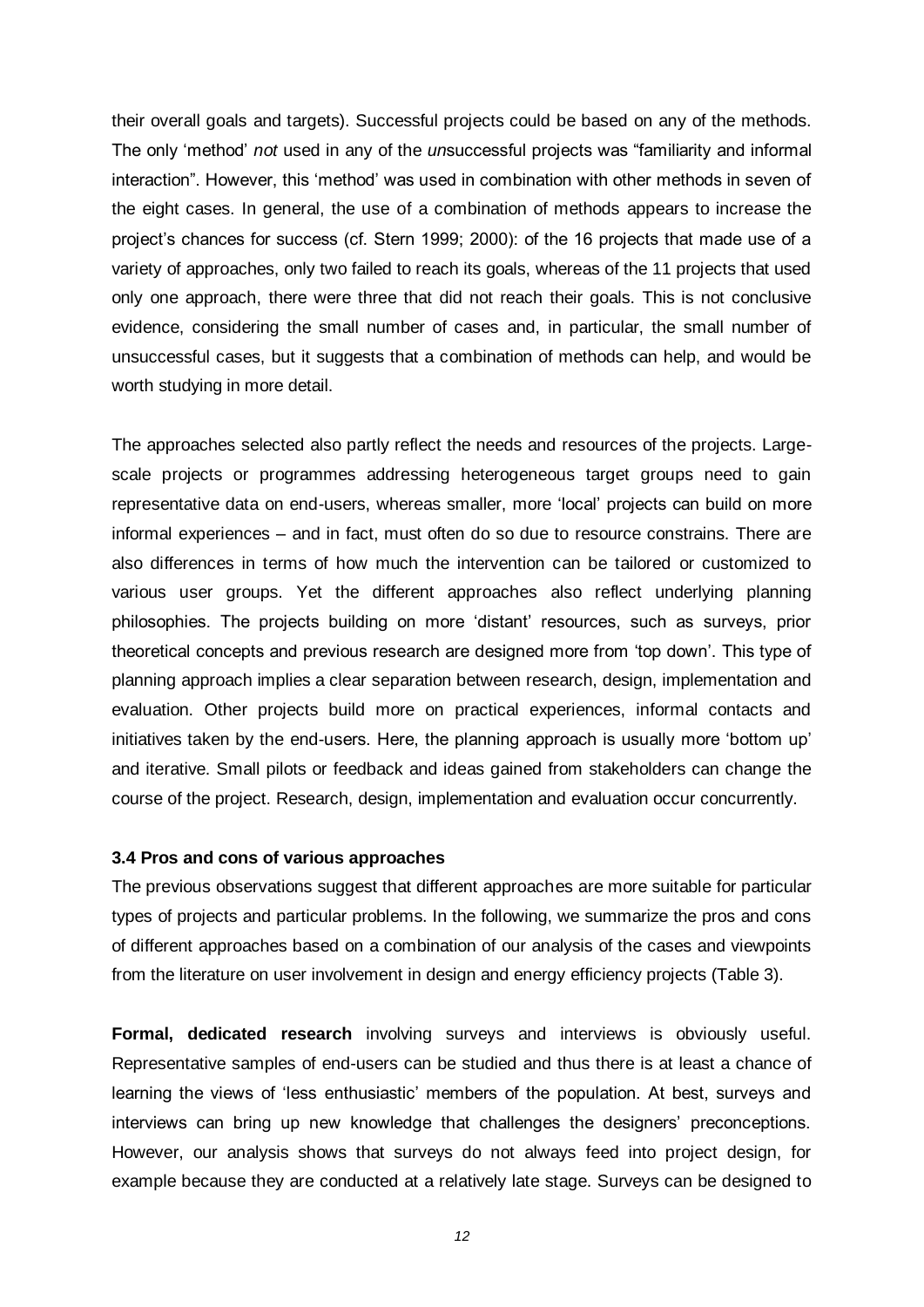their overall goals and targets). Successful projects could be based on any of the methods. The only 'method' *not* used in any of the *un*successful projects was "familiarity and informal interaction". However, this 'method' was used in combination with other methods in seven of the eight cases. In general, the use of a combination of methods appears to increase the project's chances for success (cf. Stern 1999; 2000): of the 16 projects that made use of a variety of approaches, only two failed to reach its goals, whereas of the 11 projects that used only one approach, there were three that did not reach their goals. This is not conclusive evidence, considering the small number of cases and, in particular, the small number of unsuccessful cases, but it suggests that a combination of methods can help, and would be worth studying in more detail.

The approaches selected also partly reflect the needs and resources of the projects. Largescale projects or programmes addressing heterogeneous target groups need to gain representative data on end-users, whereas smaller, more 'local' projects can build on more informal experiences – and in fact, must often do so due to resource constrains. There are also differences in terms of how much the intervention can be tailored or customized to various user groups. Yet the different approaches also reflect underlying planning philosophies. The projects building on more 'distant' resources, such as surveys, prior theoretical concepts and previous research are designed more from 'top down'. This type of planning approach implies a clear separation between research, design, implementation and evaluation. Other projects build more on practical experiences, informal contacts and initiatives taken by the end-users. Here, the planning approach is usually more 'bottom up' and iterative. Small pilots or feedback and ideas gained from stakeholders can change the course of the project. Research, design, implementation and evaluation occur concurrently.

#### **3.4 Pros and cons of various approaches**

The previous observations suggest that different approaches are more suitable for particular types of projects and particular problems. In the following, we summarize the pros and cons of different approaches based on a combination of our analysis of the cases and viewpoints from the literature on user involvement in design and energy efficiency projects (Table 3).

**Formal, dedicated research** involving surveys and interviews is obviously useful. Representative samples of end-users can be studied and thus there is at least a chance of learning the views of 'less enthusiastic' members of the population. At best, surveys and interviews can bring up new knowledge that challenges the designers' preconceptions. However, our analysis shows that surveys do not always feed into project design, for example because they are conducted at a relatively late stage. Surveys can be designed to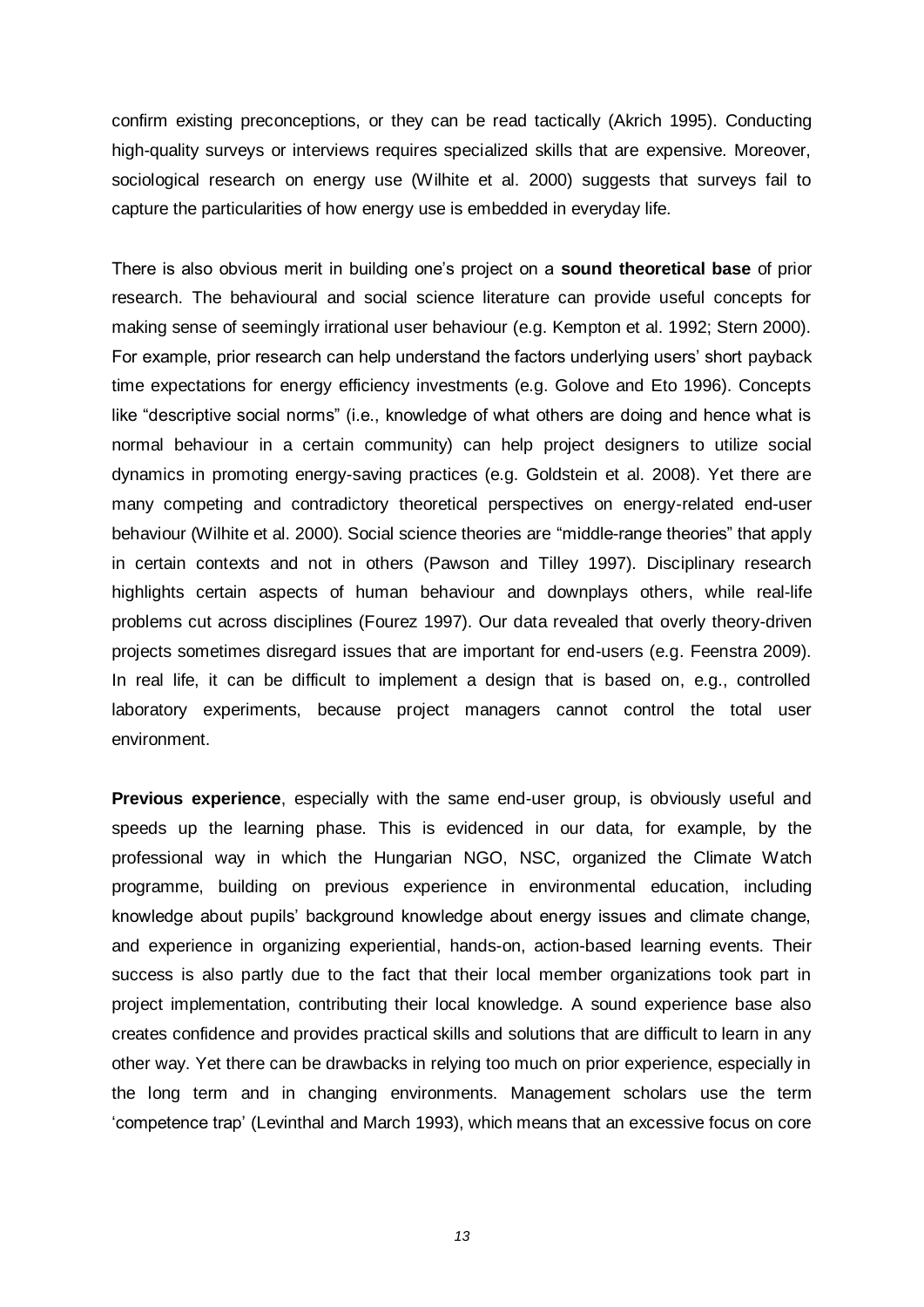confirm existing preconceptions, or they can be read tactically (Akrich 1995). Conducting high-quality surveys or interviews requires specialized skills that are expensive. Moreover, sociological research on energy use (Wilhite et al. 2000) suggests that surveys fail to capture the particularities of how energy use is embedded in everyday life.

There is also obvious merit in building one's project on a **sound theoretical base** of prior research. The behavioural and social science literature can provide useful concepts for making sense of seemingly irrational user behaviour (e.g. Kempton et al. 1992; Stern 2000). For example, prior research can help understand the factors underlying users' short payback time expectations for energy efficiency investments (e.g. Golove and Eto 1996). Concepts like "descriptive social norms" (i.e., knowledge of what others are doing and hence what is normal behaviour in a certain community) can help project designers to utilize social dynamics in promoting energy-saving practices (e.g. Goldstein et al. 2008). Yet there are many competing and contradictory theoretical perspectives on energy-related end-user behaviour (Wilhite et al. 2000). Social science theories are "middle-range theories" that apply in certain contexts and not in others (Pawson and Tilley 1997). Disciplinary research highlights certain aspects of human behaviour and downplays others, while real-life problems cut across disciplines (Fourez 1997). Our data revealed that overly theory-driven projects sometimes disregard issues that are important for end-users (e.g. Feenstra 2009). In real life, it can be difficult to implement a design that is based on, e.g., controlled laboratory experiments, because project managers cannot control the total user environment.

**Previous experience**, especially with the same end-user group, is obviously useful and speeds up the learning phase. This is evidenced in our data, for example, by the professional way in which the Hungarian NGO, NSC, organized the Climate Watch programme, building on previous experience in environmental education, including knowledge about pupils' background knowledge about energy issues and climate change, and experience in organizing experiential, hands-on, action-based learning events. Their success is also partly due to the fact that their local member organizations took part in project implementation, contributing their local knowledge. A sound experience base also creates confidence and provides practical skills and solutions that are difficult to learn in any other way. Yet there can be drawbacks in relying too much on prior experience, especially in the long term and in changing environments. Management scholars use the term 'competence trap' (Levinthal and March 1993), which means that an excessive focus on core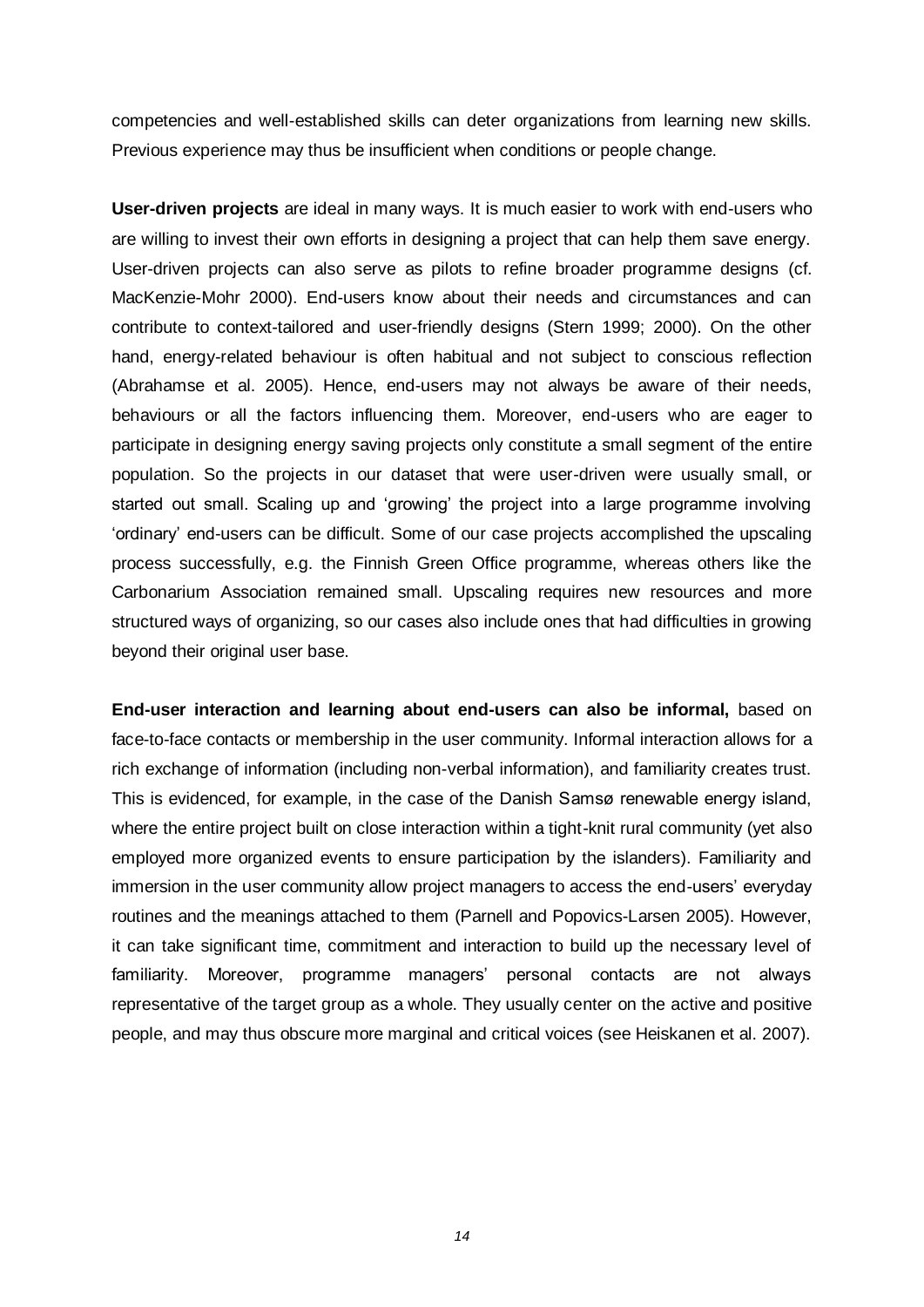competencies and well-established skills can deter organizations from learning new skills. Previous experience may thus be insufficient when conditions or people change.

**User-driven projects** are ideal in many ways. It is much easier to work with end-users who are willing to invest their own efforts in designing a project that can help them save energy. User-driven projects can also serve as pilots to refine broader programme designs (cf. MacKenzie-Mohr 2000). End-users know about their needs and circumstances and can contribute to context-tailored and user-friendly designs (Stern 1999; 2000). On the other hand, energy-related behaviour is often habitual and not subject to conscious reflection (Abrahamse et al. 2005). Hence, end-users may not always be aware of their needs, behaviours or all the factors influencing them. Moreover, end-users who are eager to participate in designing energy saving projects only constitute a small segment of the entire population. So the projects in our dataset that were user-driven were usually small, or started out small. Scaling up and 'growing' the project into a large programme involving 'ordinary' end-users can be difficult. Some of our case projects accomplished the upscaling process successfully, e.g. the Finnish Green Office programme, whereas others like the Carbonarium Association remained small. Upscaling requires new resources and more structured ways of organizing, so our cases also include ones that had difficulties in growing beyond their original user base.

**End-user interaction and learning about end-users can also be informal,** based on face-to-face contacts or membership in the user community. Informal interaction allows for a rich exchange of information (including non-verbal information), and familiarity creates trust. This is evidenced, for example, in the case of the Danish Samsø renewable energy island, where the entire project built on close interaction within a tight-knit rural community (yet also employed more organized events to ensure participation by the islanders). Familiarity and immersion in the user community allow project managers to access the end-users' everyday routines and the meanings attached to them (Parnell and Popovics-Larsen 2005). However, it can take significant time, commitment and interaction to build up the necessary level of familiarity. Moreover, programme managers' personal contacts are not always representative of the target group as a whole. They usually center on the active and positive people, and may thus obscure more marginal and critical voices (see Heiskanen et al. 2007).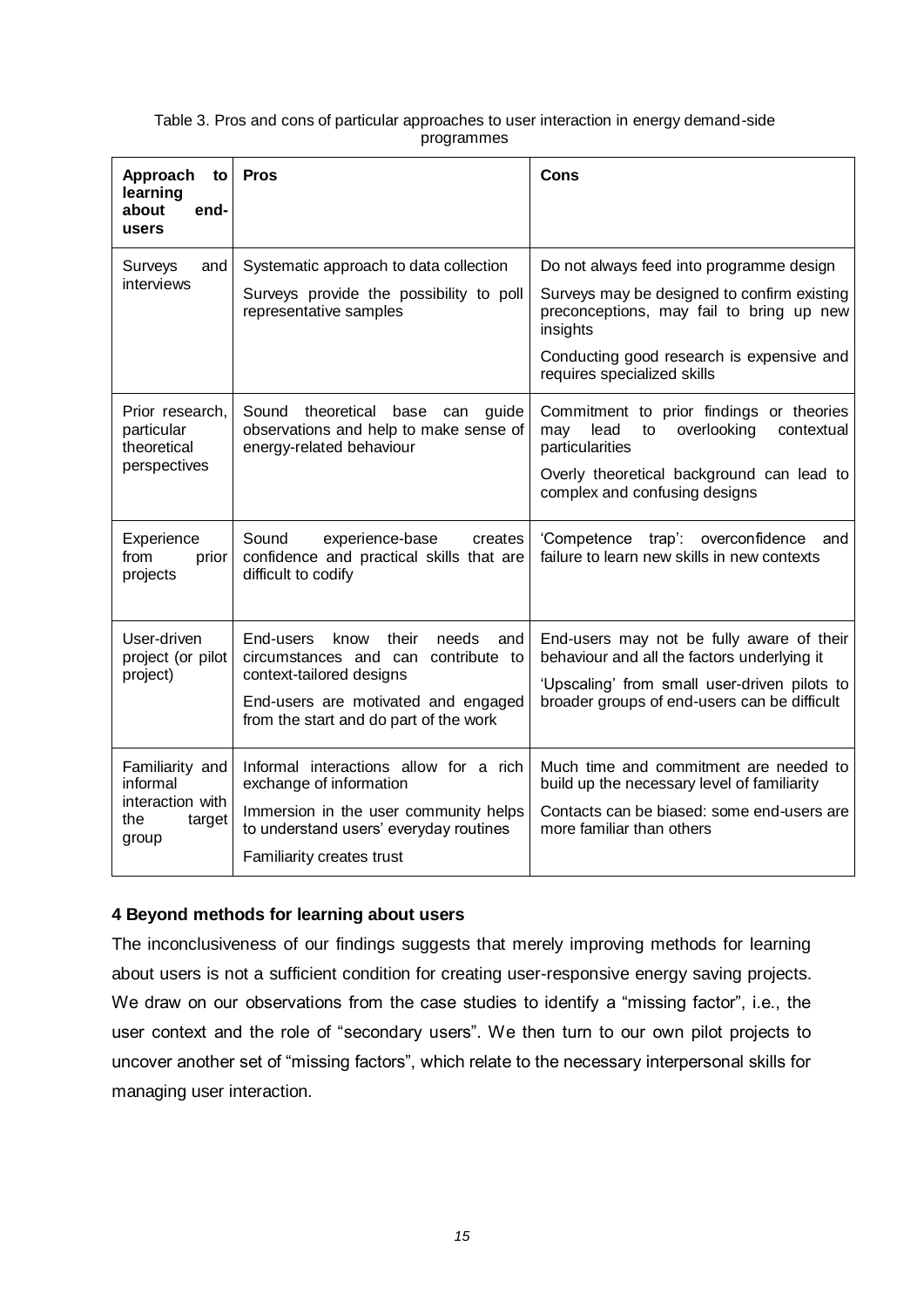| Table 3. Pros and cons of particular approaches to user interaction in energy demand-side |
|-------------------------------------------------------------------------------------------|
| programmes                                                                                |

| Approach<br>to<br>learning<br>about<br>end-<br>users                      | <b>Pros</b>                                                                                                                                                                                    | <b>Cons</b>                                                                                                                                                                                                                 |
|---------------------------------------------------------------------------|------------------------------------------------------------------------------------------------------------------------------------------------------------------------------------------------|-----------------------------------------------------------------------------------------------------------------------------------------------------------------------------------------------------------------------------|
| Surveys<br>and<br>interviews                                              | Systematic approach to data collection<br>Surveys provide the possibility to poll<br>representative samples                                                                                    | Do not always feed into programme design<br>Surveys may be designed to confirm existing<br>preconceptions, may fail to bring up new<br>insights<br>Conducting good research is expensive and<br>requires specialized skills |
| Prior research,<br>particular<br>theoretical<br>perspectives              | Sound theoretical base can<br>guide<br>observations and help to make sense of<br>energy-related behaviour                                                                                      | Commitment to prior findings or theories<br>overlooking<br>lead<br>contextual<br>to<br>may<br>particularities<br>Overly theoretical background can lead to<br>complex and confusing designs                                 |
| Experience<br>from<br>prior<br>projects                                   | Sound<br>experience-base<br>creates<br>confidence and practical skills that are<br>difficult to codify                                                                                         | 'Competence trap': overconfidence<br>and<br>failure to learn new skills in new contexts                                                                                                                                     |
| User-driven<br>project (or pilot<br>project)                              | End-users<br>know<br>their<br>needs<br>and<br>circumstances and can contribute to<br>context-tailored designs<br>End-users are motivated and engaged<br>from the start and do part of the work | End-users may not be fully aware of their<br>behaviour and all the factors underlying it<br>'Upscaling' from small user-driven pilots to<br>broader groups of end-users can be difficult                                    |
| Familiarity and<br>informal<br>interaction with<br>target<br>the<br>group | Informal interactions allow for a rich<br>exchange of information<br>Immersion in the user community helps<br>to understand users' everyday routines<br>Familiarity creates trust              | Much time and commitment are needed to<br>build up the necessary level of familiarity<br>Contacts can be biased: some end-users are<br>more familiar than others                                                            |

# **4 Beyond methods for learning about users**

The inconclusiveness of our findings suggests that merely improving methods for learning about users is not a sufficient condition for creating user-responsive energy saving projects. We draw on our observations from the case studies to identify a "missing factor", i.e., the user context and the role of "secondary users". We then turn to our own pilot projects to uncover another set of "missing factors", which relate to the necessary interpersonal skills for managing user interaction.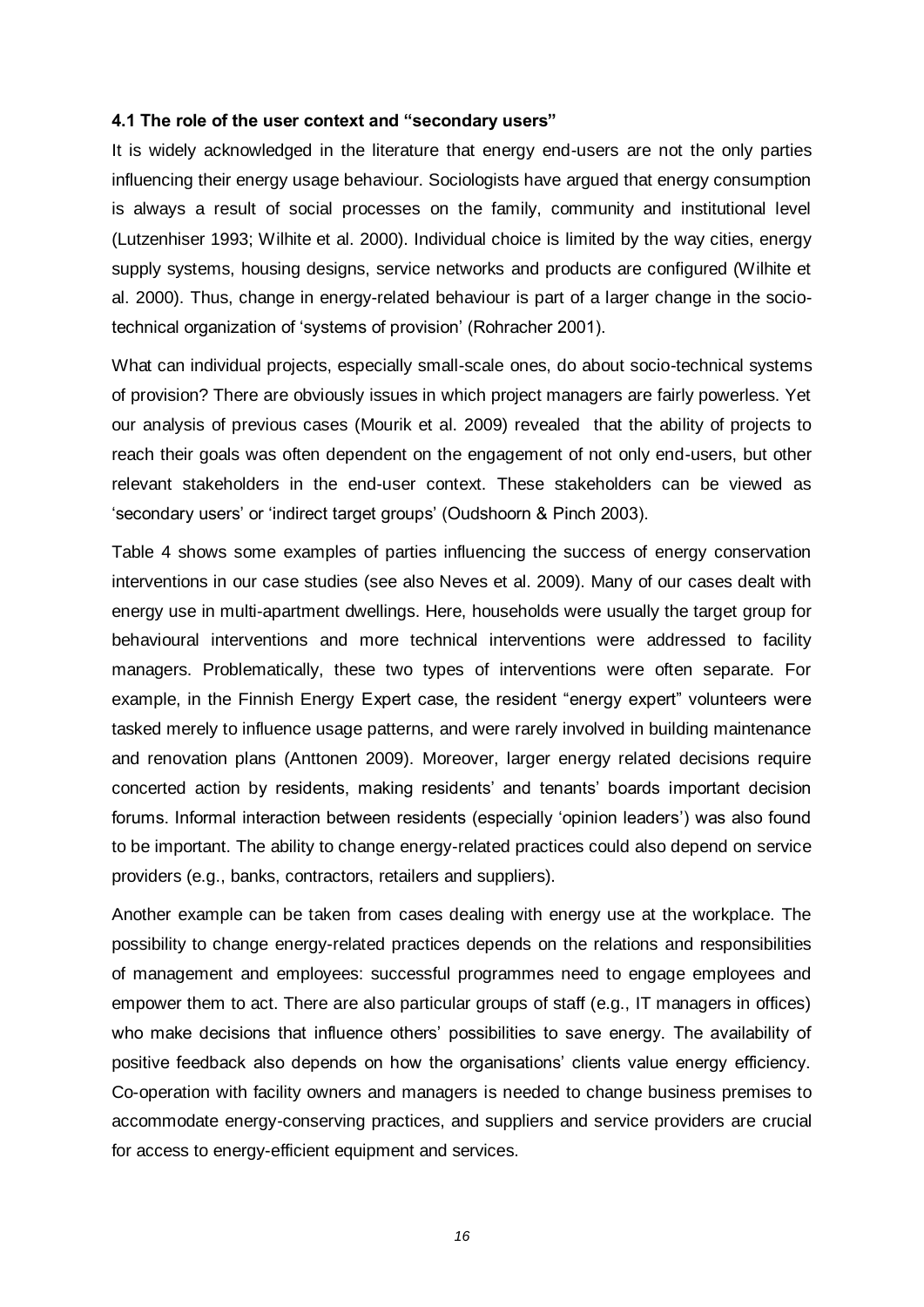#### **4.1 The role of the user context and "secondary users"**

It is widely acknowledged in the literature that energy end-users are not the only parties influencing their energy usage behaviour. Sociologists have argued that energy consumption is always a result of social processes on the family, community and institutional level (Lutzenhiser 1993; Wilhite et al. 2000). Individual choice is limited by the way cities, energy supply systems, housing designs, service networks and products are configured (Wilhite et al. 2000). Thus, change in energy-related behaviour is part of a larger change in the sociotechnical organization of 'systems of provision' (Rohracher 2001).

What can individual projects, especially small-scale ones, do about socio-technical systems of provision? There are obviously issues in which project managers are fairly powerless. Yet our analysis of previous cases (Mourik et al. 2009) revealed that the ability of projects to reach their goals was often dependent on the engagement of not only end-users, but other relevant stakeholders in the end-user context. These stakeholders can be viewed as 'secondary users' or 'indirect target groups' (Oudshoorn & Pinch 2003).

Table 4 shows some examples of parties influencing the success of energy conservation interventions in our case studies (see also Neves et al. 2009). Many of our cases dealt with energy use in multi-apartment dwellings. Here, households were usually the target group for behavioural interventions and more technical interventions were addressed to facility managers. Problematically, these two types of interventions were often separate. For example, in the Finnish Energy Expert case, the resident "energy expert" volunteers were tasked merely to influence usage patterns, and were rarely involved in building maintenance and renovation plans (Anttonen 2009). Moreover, larger energy related decisions require concerted action by residents, making residents' and tenants' boards important decision forums. Informal interaction between residents (especially 'opinion leaders') was also found to be important. The ability to change energy-related practices could also depend on service providers (e.g., banks, contractors, retailers and suppliers).

Another example can be taken from cases dealing with energy use at the workplace. The possibility to change energy-related practices depends on the relations and responsibilities of management and employees: successful programmes need to engage employees and empower them to act. There are also particular groups of staff (e.g., IT managers in offices) who make decisions that influence others' possibilities to save energy. The availability of positive feedback also depends on how the organisations' clients value energy efficiency. Co-operation with facility owners and managers is needed to change business premises to accommodate energy-conserving practices, and suppliers and service providers are crucial for access to energy-efficient equipment and services.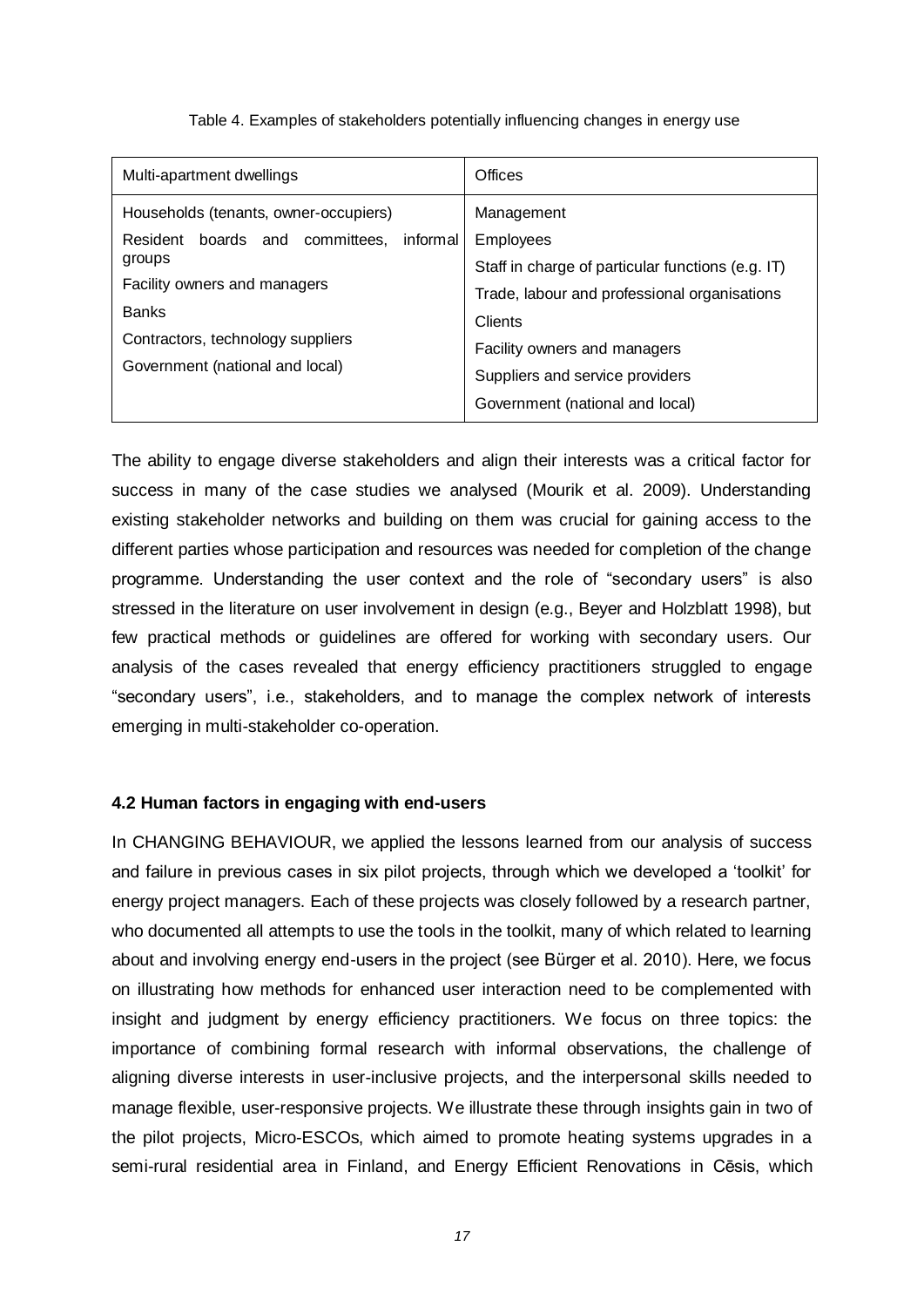|                                                                                                                                                                                                                                                                                                                                                                                                                                                                                   | Multi-apartment dwellings | Offices |
|-----------------------------------------------------------------------------------------------------------------------------------------------------------------------------------------------------------------------------------------------------------------------------------------------------------------------------------------------------------------------------------------------------------------------------------------------------------------------------------|---------------------------|---------|
| Households (tenants, owner-occupiers)<br>Management<br>boards and committees,<br>informal<br><b>Employees</b><br>Resident<br>groups<br>Staff in charge of particular functions (e.g. IT)<br>Facility owners and managers<br>Trade, labour and professional organisations<br><b>Banks</b><br>Clients<br>Contractors, technology suppliers<br>Facility owners and managers<br>Government (national and local)<br>Suppliers and service providers<br>Government (national and local) |                           |         |

#### Table 4. Examples of stakeholders potentially influencing changes in energy use

The ability to engage diverse stakeholders and align their interests was a critical factor for success in many of the case studies we analysed (Mourik et al. 2009). Understanding existing stakeholder networks and building on them was crucial for gaining access to the different parties whose participation and resources was needed for completion of the change programme. Understanding the user context and the role of "secondary users" is also stressed in the literature on user involvement in design (e.g., Beyer and Holzblatt 1998), but few practical methods or guidelines are offered for working with secondary users. Our analysis of the cases revealed that energy efficiency practitioners struggled to engage "secondary users", i.e., stakeholders, and to manage the complex network of interests emerging in multi-stakeholder co-operation.

# **4.2 Human factors in engaging with end-users**

In CHANGING BEHAVIOUR, we applied the lessons learned from our analysis of success and failure in previous cases in six pilot projects, through which we developed a 'toolkit' for energy project managers. Each of these projects was closely followed by a research partner, who documented all attempts to use the tools in the toolkit, many of which related to learning about and involving energy end-users in the project (see Bürger et al. 2010). Here, we focus on illustrating how methods for enhanced user interaction need to be complemented with insight and judgment by energy efficiency practitioners. We focus on three topics: the importance of combining formal research with informal observations, the challenge of aligning diverse interests in user-inclusive projects, and the interpersonal skills needed to manage flexible, user-responsive projects. We illustrate these through insights gain in two of the pilot projects, Micro-ESCOs, which aimed to promote heating systems upgrades in a semi-rural residential area in Finland, and Energy Efficient Renovations in Cēsis, which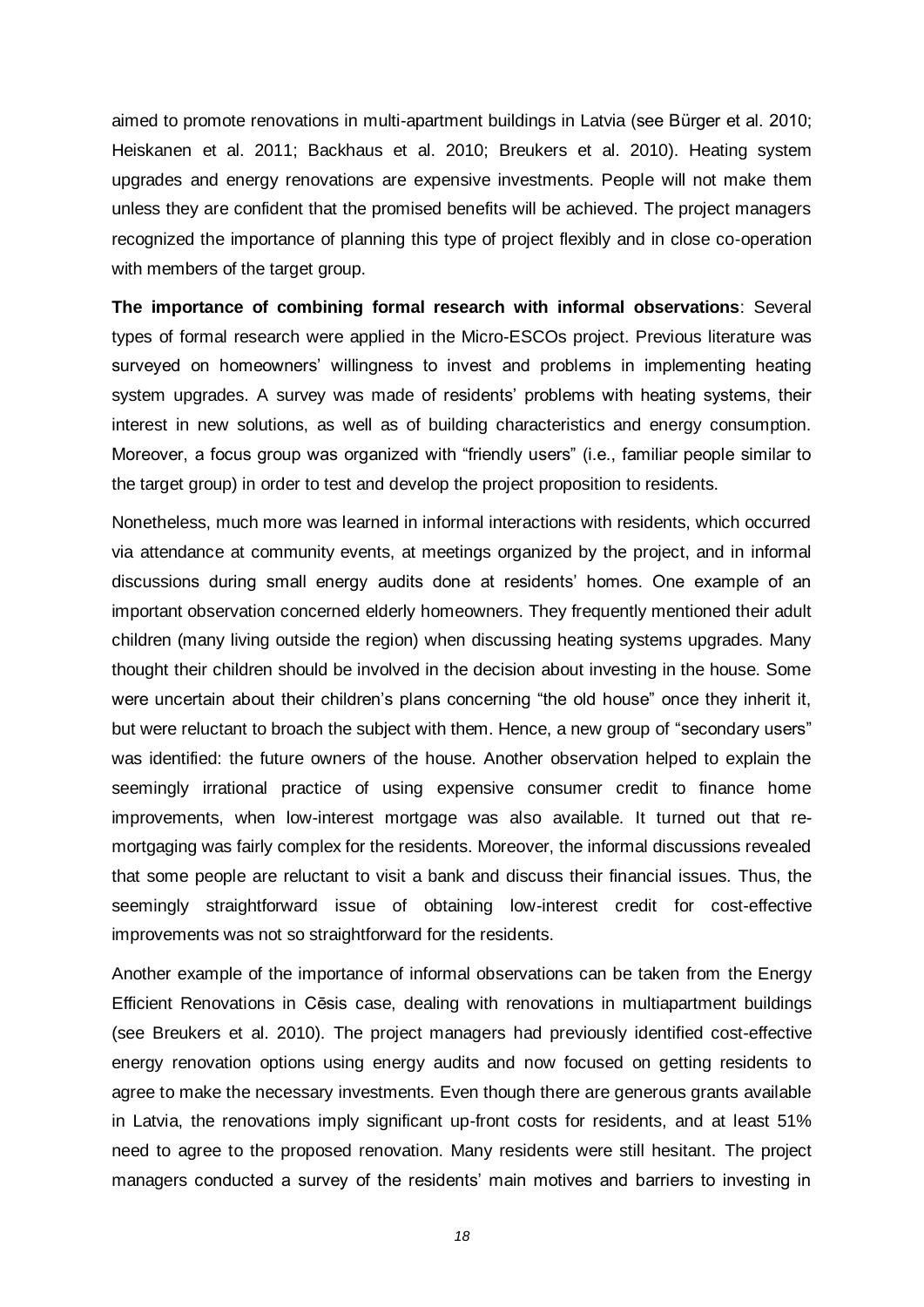aimed to promote renovations in multi-apartment buildings in Latvia (see Bürger et al. 2010; Heiskanen et al. 2011; Backhaus et al. 2010; Breukers et al. 2010). Heating system upgrades and energy renovations are expensive investments. People will not make them unless they are confident that the promised benefits will be achieved. The project managers recognized the importance of planning this type of project flexibly and in close co-operation with members of the target group.

**The importance of combining formal research with informal observations**: Several types of formal research were applied in the Micro-ESCOs project. Previous literature was surveyed on homeowners' willingness to invest and problems in implementing heating system upgrades. A survey was made of residents' problems with heating systems, their interest in new solutions, as well as of building characteristics and energy consumption. Moreover, a focus group was organized with "friendly users" (i.e., familiar people similar to the target group) in order to test and develop the project proposition to residents.

Nonetheless, much more was learned in informal interactions with residents, which occurred via attendance at community events, at meetings organized by the project, and in informal discussions during small energy audits done at residents' homes. One example of an important observation concerned elderly homeowners. They frequently mentioned their adult children (many living outside the region) when discussing heating systems upgrades. Many thought their children should be involved in the decision about investing in the house. Some were uncertain about their children's plans concerning "the old house" once they inherit it, but were reluctant to broach the subject with them. Hence, a new group of "secondary users" was identified: the future owners of the house. Another observation helped to explain the seemingly irrational practice of using expensive consumer credit to finance home improvements, when low-interest mortgage was also available. It turned out that remortgaging was fairly complex for the residents. Moreover, the informal discussions revealed that some people are reluctant to visit a bank and discuss their financial issues. Thus, the seemingly straightforward issue of obtaining low-interest credit for cost-effective improvements was not so straightforward for the residents.

Another example of the importance of informal observations can be taken from the Energy Efficient Renovations in Cēsis case, dealing with renovations in multiapartment buildings (see Breukers et al. 2010). The project managers had previously identified cost-effective energy renovation options using energy audits and now focused on getting residents to agree to make the necessary investments. Even though there are generous grants available in Latvia, the renovations imply significant up-front costs for residents, and at least 51% need to agree to the proposed renovation. Many residents were still hesitant. The project managers conducted a survey of the residents' main motives and barriers to investing in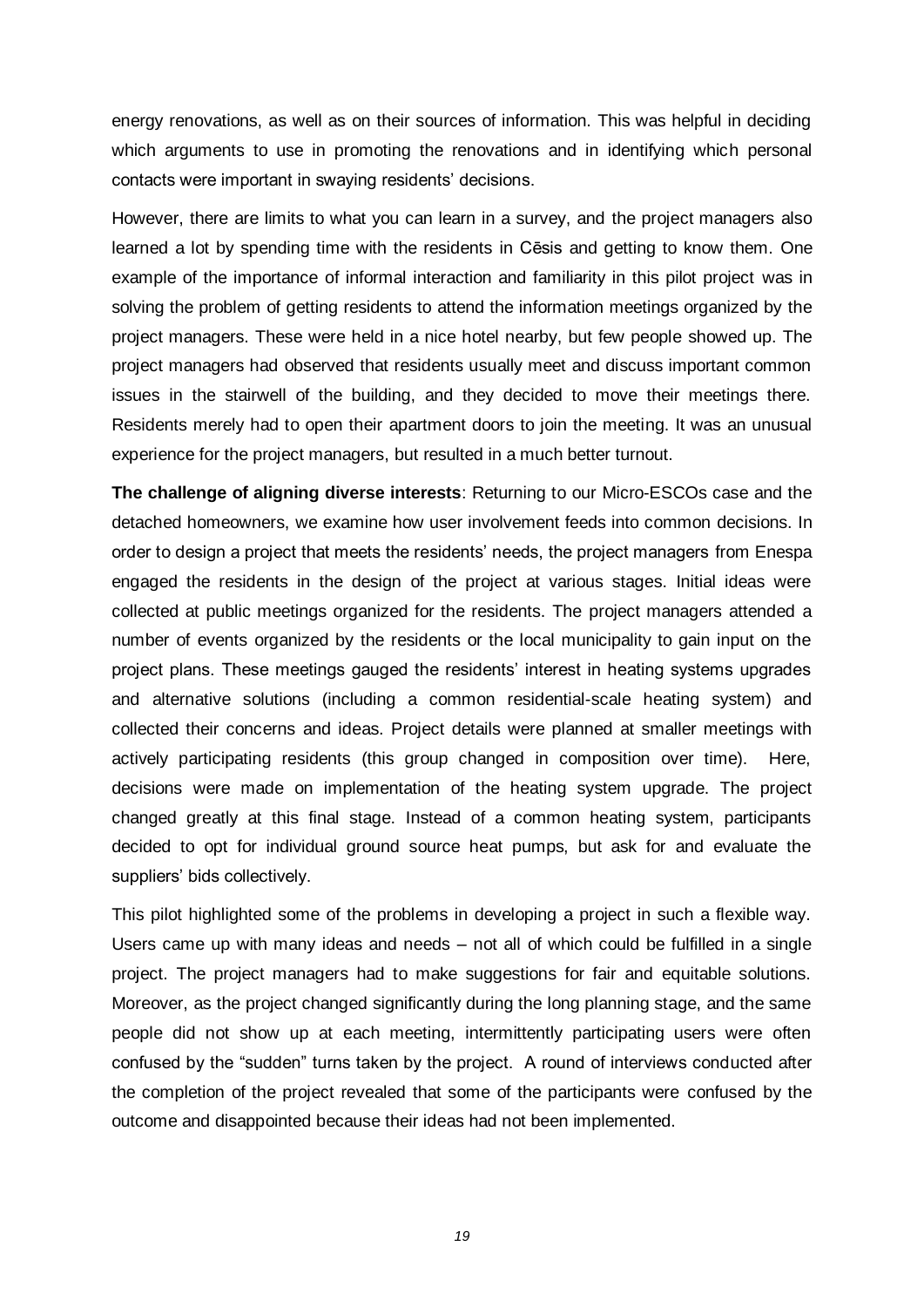energy renovations, as well as on their sources of information. This was helpful in deciding which arguments to use in promoting the renovations and in identifying which personal contacts were important in swaying residents' decisions.

However, there are limits to what you can learn in a survey, and the project managers also learned a lot by spending time with the residents in Cēsis and getting to know them. One example of the importance of informal interaction and familiarity in this pilot project was in solving the problem of getting residents to attend the information meetings organized by the project managers. These were held in a nice hotel nearby, but few people showed up. The project managers had observed that residents usually meet and discuss important common issues in the stairwell of the building, and they decided to move their meetings there. Residents merely had to open their apartment doors to join the meeting. It was an unusual experience for the project managers, but resulted in a much better turnout.

**The challenge of aligning diverse interests**: Returning to our Micro-ESCOs case and the detached homeowners, we examine how user involvement feeds into common decisions. In order to design a project that meets the residents' needs, the project managers from Enespa engaged the residents in the design of the project at various stages. Initial ideas were collected at public meetings organized for the residents. The project managers attended a number of events organized by the residents or the local municipality to gain input on the project plans. These meetings gauged the residents' interest in heating systems upgrades and alternative solutions (including a common residential-scale heating system) and collected their concerns and ideas. Project details were planned at smaller meetings with actively participating residents (this group changed in composition over time). Here, decisions were made on implementation of the heating system upgrade. The project changed greatly at this final stage. Instead of a common heating system, participants decided to opt for individual ground source heat pumps, but ask for and evaluate the suppliers' bids collectively.

This pilot highlighted some of the problems in developing a project in such a flexible way. Users came up with many ideas and needs – not all of which could be fulfilled in a single project. The project managers had to make suggestions for fair and equitable solutions. Moreover, as the project changed significantly during the long planning stage, and the same people did not show up at each meeting, intermittently participating users were often confused by the "sudden" turns taken by the project. A round of interviews conducted after the completion of the project revealed that some of the participants were confused by the outcome and disappointed because their ideas had not been implemented.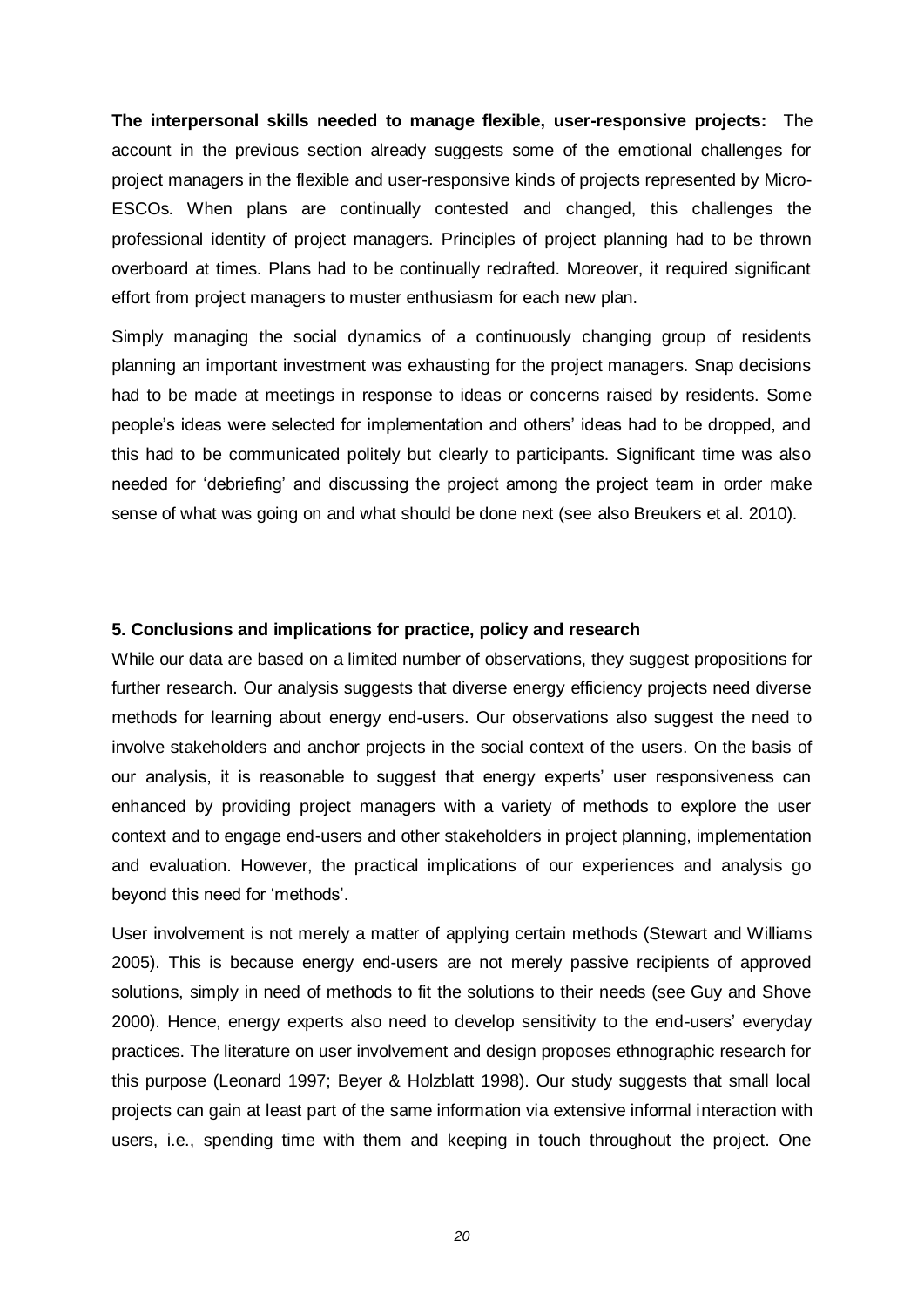**The interpersonal skills needed to manage flexible, user-responsive projects:** The account in the previous section already suggests some of the emotional challenges for project managers in the flexible and user-responsive kinds of projects represented by Micro-ESCOs. When plans are continually contested and changed, this challenges the professional identity of project managers. Principles of project planning had to be thrown overboard at times. Plans had to be continually redrafted. Moreover, it required significant effort from project managers to muster enthusiasm for each new plan.

Simply managing the social dynamics of a continuously changing group of residents planning an important investment was exhausting for the project managers. Snap decisions had to be made at meetings in response to ideas or concerns raised by residents. Some people's ideas were selected for implementation and others' ideas had to be dropped, and this had to be communicated politely but clearly to participants. Significant time was also needed for 'debriefing' and discussing the project among the project team in order make sense of what was going on and what should be done next (see also Breukers et al. 2010).

#### **5. Conclusions and implications for practice, policy and research**

While our data are based on a limited number of observations, they suggest propositions for further research. Our analysis suggests that diverse energy efficiency projects need diverse methods for learning about energy end-users. Our observations also suggest the need to involve stakeholders and anchor projects in the social context of the users. On the basis of our analysis, it is reasonable to suggest that energy experts' user responsiveness can enhanced by providing project managers with a variety of methods to explore the user context and to engage end-users and other stakeholders in project planning, implementation and evaluation. However, the practical implications of our experiences and analysis go beyond this need for 'methods'.

User involvement is not merely a matter of applying certain methods (Stewart and Williams 2005). This is because energy end-users are not merely passive recipients of approved solutions, simply in need of methods to fit the solutions to their needs (see Guy and Shove 2000). Hence, energy experts also need to develop sensitivity to the end-users' everyday practices. The literature on user involvement and design proposes ethnographic research for this purpose (Leonard 1997; Beyer & Holzblatt 1998). Our study suggests that small local projects can gain at least part of the same information via extensive informal interaction with users, i.e., spending time with them and keeping in touch throughout the project. One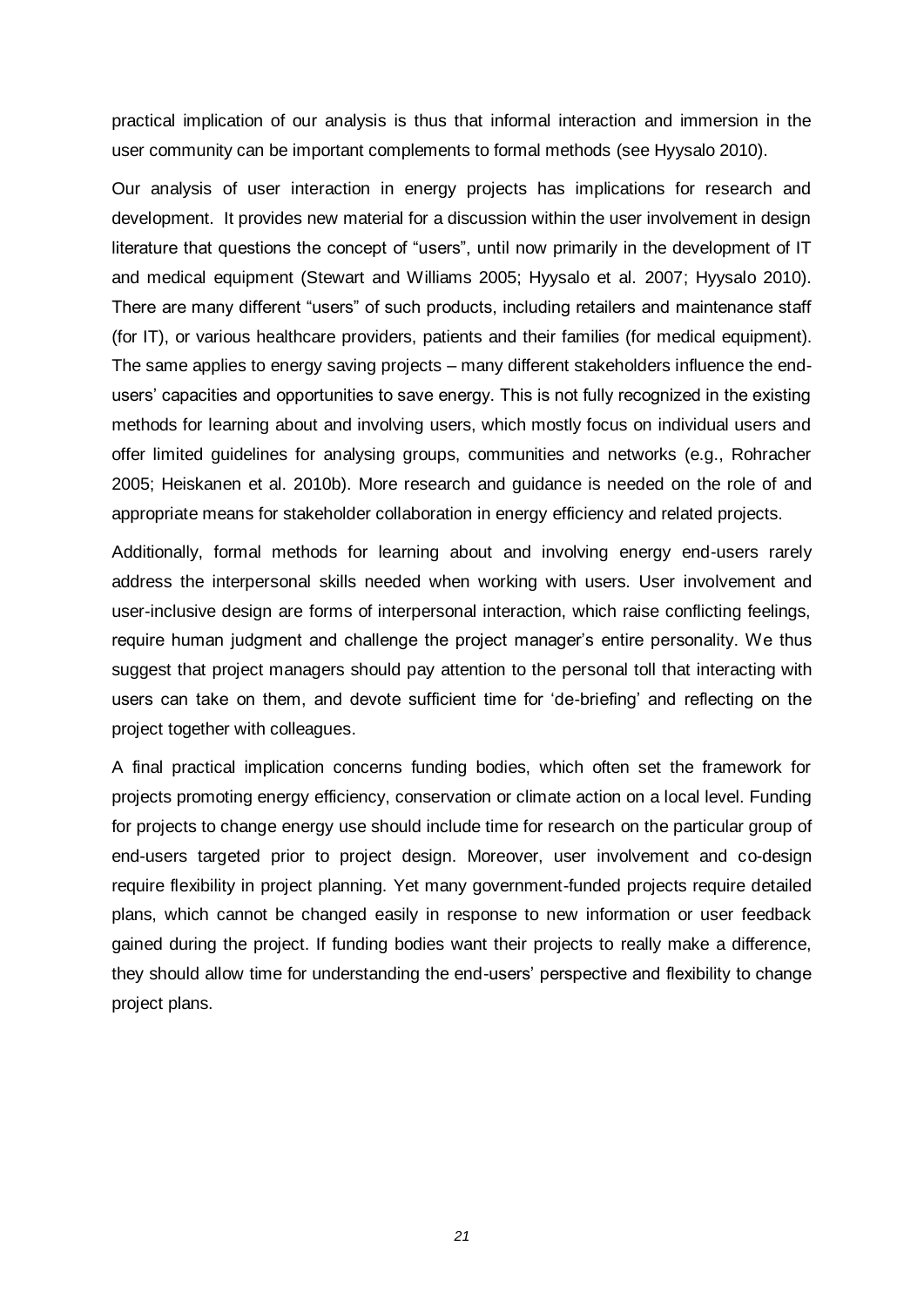practical implication of our analysis is thus that informal interaction and immersion in the user community can be important complements to formal methods (see Hyysalo 2010).

Our analysis of user interaction in energy projects has implications for research and development. It provides new material for a discussion within the user involvement in design literature that questions the concept of "users", until now primarily in the development of IT and medical equipment (Stewart and Williams 2005; Hyysalo et al. 2007; Hyysalo 2010). There are many different "users" of such products, including retailers and maintenance staff (for IT), or various healthcare providers, patients and their families (for medical equipment). The same applies to energy saving projects – many different stakeholders influence the endusers' capacities and opportunities to save energy. This is not fully recognized in the existing methods for learning about and involving users, which mostly focus on individual users and offer limited guidelines for analysing groups, communities and networks (e.g., Rohracher 2005; Heiskanen et al. 2010b). More research and guidance is needed on the role of and appropriate means for stakeholder collaboration in energy efficiency and related projects.

Additionally, formal methods for learning about and involving energy end-users rarely address the interpersonal skills needed when working with users. User involvement and user-inclusive design are forms of interpersonal interaction, which raise conflicting feelings, require human judgment and challenge the project manager's entire personality. We thus suggest that project managers should pay attention to the personal toll that interacting with users can take on them, and devote sufficient time for 'de-briefing' and reflecting on the project together with colleagues.

A final practical implication concerns funding bodies, which often set the framework for projects promoting energy efficiency, conservation or climate action on a local level. Funding for projects to change energy use should include time for research on the particular group of end-users targeted prior to project design. Moreover, user involvement and co-design require flexibility in project planning. Yet many government-funded projects require detailed plans, which cannot be changed easily in response to new information or user feedback gained during the project. If funding bodies want their projects to really make a difference, they should allow time for understanding the end-users' perspective and flexibility to change project plans.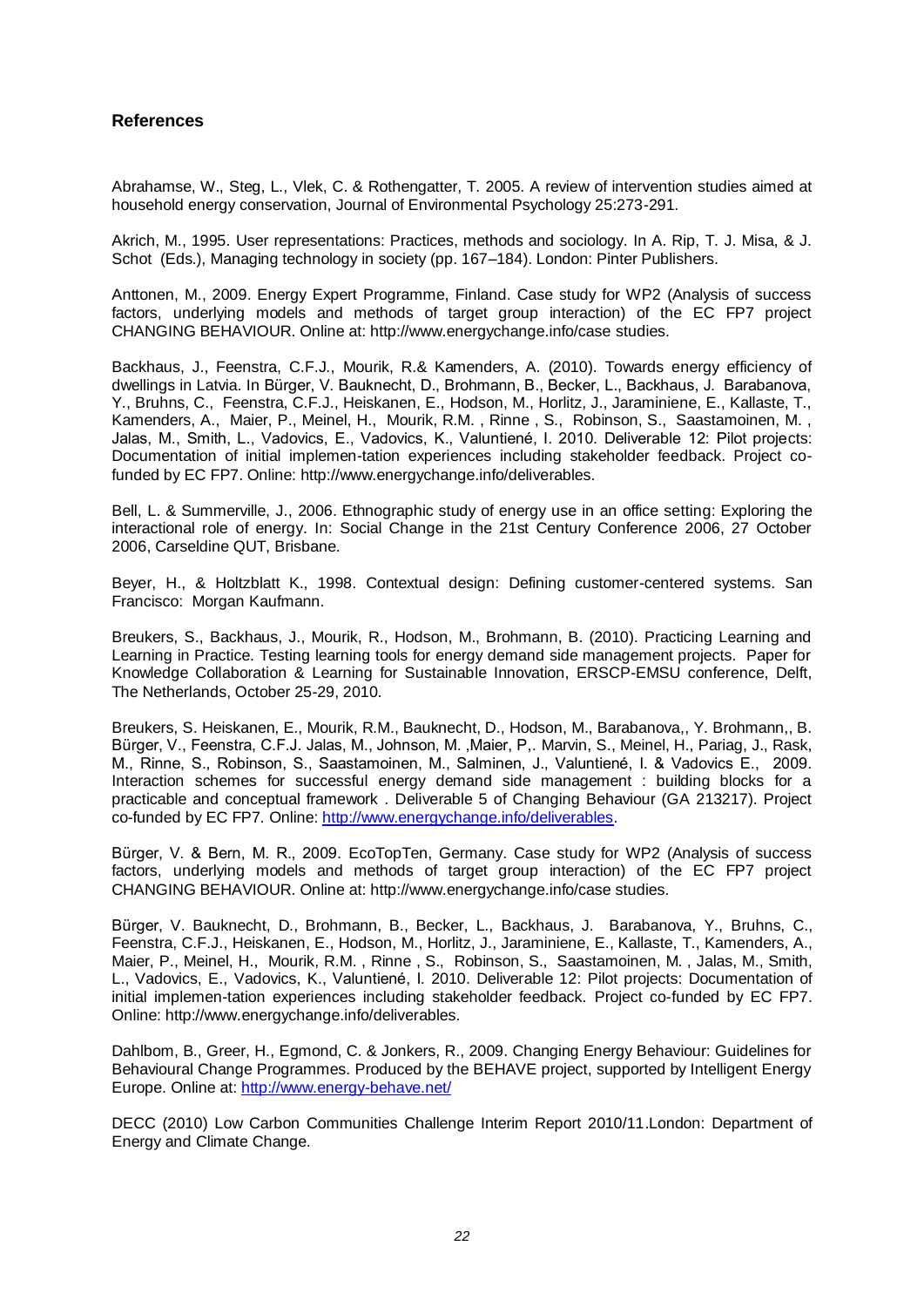# **References**

Abrahamse, W., Steg, L., Vlek, C. & Rothengatter, T. 2005. A review of intervention studies aimed at household energy conservation, Journal of Environmental Psychology 25:273-291.

Akrich, M., 1995. User representations: Practices, methods and sociology. In A. Rip, T. J. Misa, & J. Schot (Eds.), Managing technology in society (pp. 167–184). London: Pinter Publishers.

Anttonen, M., 2009. Energy Expert Programme, Finland. Case study for WP2 (Analysis of success factors, underlying models and methods of target group interaction) of the EC FP7 project CHANGING BEHAVIOUR. Online at: http://www.energychange.info/case studies.

Backhaus, J., Feenstra, C.F.J., Mourik, R.& Kamenders, A. (2010). Towards energy efficiency of dwellings in Latvia. In Bürger, V. Bauknecht, D., Brohmann, B., Becker, L., Backhaus, J. Barabanova, Y., Bruhns, C., Feenstra, C.F.J., Heiskanen, E., Hodson, M., Horlitz, J., Jaraminiene, E., Kallaste, T., Kamenders, A., Maier, P., Meinel, H., Mourik, R.M. , Rinne , S., Robinson, S., Saastamoinen, M. , Jalas, M., Smith, L., Vadovics, E., Vadovics, K., Valuntiené, I. 2010. Deliverable 12: Pilot projects: Documentation of initial implemen-tation experiences including stakeholder feedback. Project cofunded by EC FP7. Online: http://www.energychange.info/deliverables.

Bell, L. & Summerville, J., 2006. Ethnographic study of energy use in an office setting: Exploring the interactional role of energy. In: Social Change in the 21st Century Conference 2006, 27 October 2006, Carseldine QUT, Brisbane.

Beyer, H., & Holtzblatt K., 1998. Contextual design: Defining customer-centered systems. San Francisco: Morgan Kaufmann.

Breukers, S., Backhaus, J., Mourik, R., Hodson, M., Brohmann, B. (2010). Practicing Learning and Learning in Practice. Testing learning tools for energy demand side management projects. Paper for Knowledge Collaboration & Learning for Sustainable Innovation, ERSCP-EMSU conference, Delft, The Netherlands, October 25-29, 2010.

Breukers, S. Heiskanen, E., Mourik, R.M., Bauknecht, D., Hodson, M., Barabanova,, Y. Brohmann,, B. Bürger, V., Feenstra, C.F.J. Jalas, M., Johnson, M. ,Maier, P,. Marvin, S., Meinel, H., Pariag, J., Rask, M., Rinne, S., Robinson, S., Saastamoinen, M., Salminen, J., Valuntiené, I. & Vadovics E., 2009. Interaction schemes for successful energy demand side management : building blocks for a practicable and conceptual framework . Deliverable 5 of Changing Behaviour (GA 213217). Project co-funded by EC FP7. Online[: http://www.energychange.info/deliverables.](http://www.energychange.info/deliverables)

Bürger, V. & Bern, M. R., 2009. EcoTopTen, Germany. Case study for WP2 (Analysis of success factors, underlying models and methods of target group interaction) of the EC FP7 project CHANGING BEHAVIOUR. Online at: http://www.energychange.info/case studies.

Bürger, V. Bauknecht, D., Brohmann, B., Becker, L., Backhaus, J. Barabanova, Y., Bruhns, C., Feenstra, C.F.J., Heiskanen, E., Hodson, M., Horlitz, J., Jaraminiene, E., Kallaste, T., Kamenders, A., Maier, P., Meinel, H., Mourik, R.M. , Rinne , S., Robinson, S., Saastamoinen, M. , Jalas, M., Smith, L., Vadovics, E., Vadovics, K., Valuntiené, I. 2010. Deliverable 12: Pilot projects: Documentation of initial implemen-tation experiences including stakeholder feedback. Project co-funded by EC FP7. Online: http://www.energychange.info/deliverables.

Dahlbom, B., Greer, H., Egmond, C. & Jonkers, R., 2009. Changing Energy Behaviour: Guidelines for Behavioural Change Programmes. Produced by the BEHAVE project, supported by Intelligent Energy Europe. Online at:<http://www.energy-behave.net/>

DECC (2010) Low Carbon Communities Challenge Interim Report 2010/11.London: Department of Energy and Climate Change.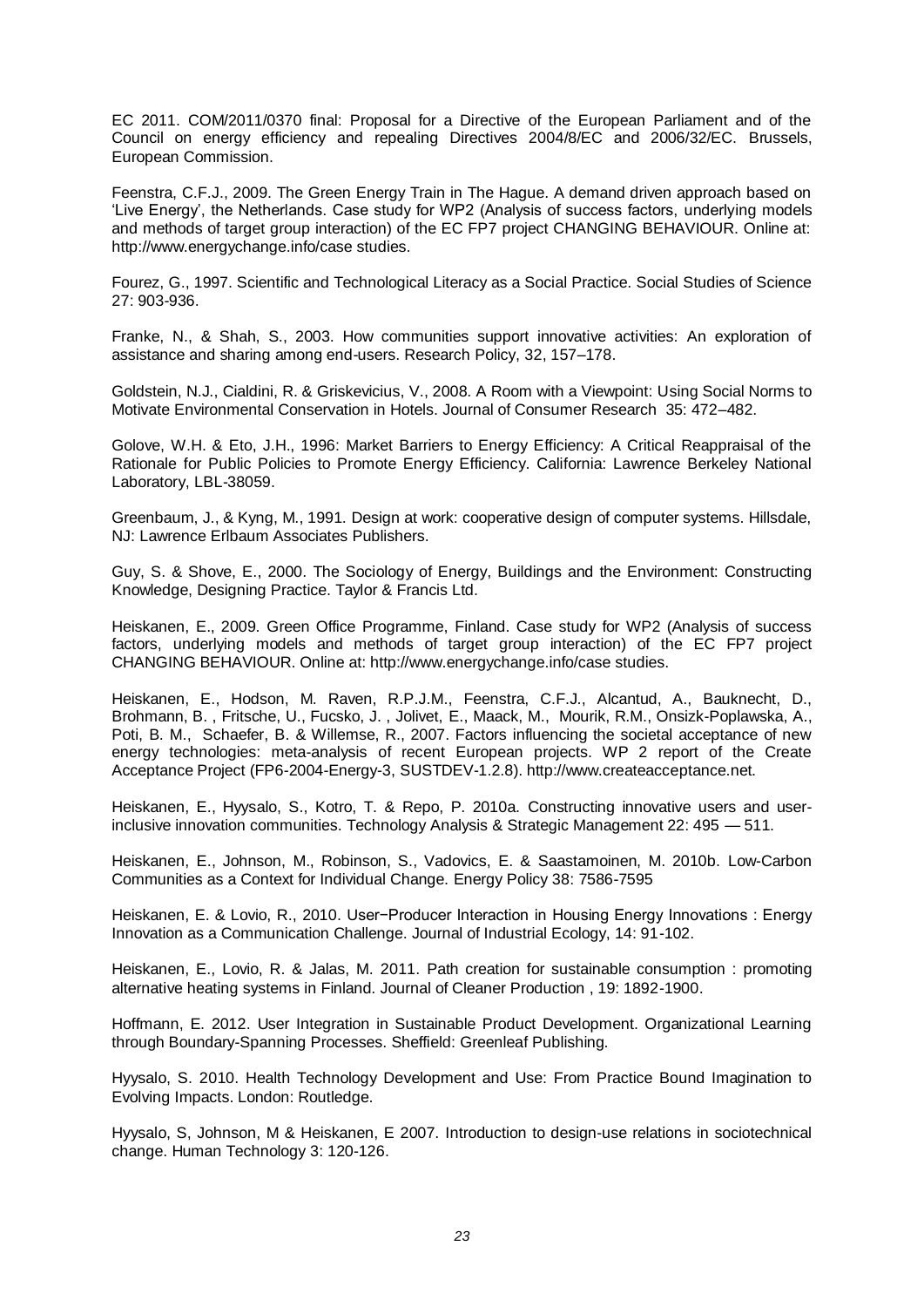EC 2011. COM/2011/0370 final: Proposal for a Directive of the European Parliament and of the Council on energy efficiency and repealing Directives 2004/8/EC and 2006/32/EC. Brussels, European Commission.

Feenstra, C.F.J., 2009. The Green Energy Train in The Hague. A demand driven approach based on 'Live Energy', the Netherlands. Case study for WP2 (Analysis of success factors, underlying models and methods of target group interaction) of the EC FP7 project CHANGING BEHAVIOUR. Online at: http://www.energychange.info/case studies.

Fourez, G., 1997. Scientific and Technological Literacy as a Social Practice. Social Studies of Science 27: 903-936.

Franke, N., & Shah, S., 2003. How communities support innovative activities: An exploration of assistance and sharing among end-users. Research Policy, 32, 157–178.

Goldstein, N.J., Cialdini, R. & Griskevicius, V., 2008. A Room with a Viewpoint: Using Social Norms to Motivate Environmental Conservation in Hotels. Journal of Consumer Research 35: 472–482.

Golove, W.H. & Eto, J.H., 1996: Market Barriers to Energy Efficiency: A Critical Reappraisal of the Rationale for Public Policies to Promote Energy Efficiency. California: Lawrence Berkeley National Laboratory, LBL-38059.

Greenbaum, J., & Kyng, M., 1991. Design at work: cooperative design of computer systems. Hillsdale, NJ: Lawrence Erlbaum Associates Publishers.

Guy, S. & Shove, E., 2000. The Sociology of Energy, Buildings and the Environment: Constructing Knowledge, Designing Practice. Taylor & Francis Ltd.

Heiskanen, E., 2009. Green Office Programme, Finland. Case study for WP2 (Analysis of success factors, underlying models and methods of target group interaction) of the EC FP7 project CHANGING BEHAVIOUR. Online at: http://www.energychange.info/case studies.

Heiskanen, E., Hodson, M. Raven, R.P.J.M., Feenstra, C.F.J., Alcantud, A., Bauknecht, D., Brohmann, B. , Fritsche, U., Fucsko, J. , Jolivet, E., Maack, M., Mourik, R.M., Onsizk-Poplawska, A., Poti, B. M., Schaefer, B. & Willemse, R., 2007. Factors influencing the societal acceptance of new energy technologies: meta-analysis of recent European projects. WP 2 report of the Create Acceptance Project (FP6-2004-Energy-3, SUSTDEV-1.2.8). http://www.createacceptance.net.

Heiskanen, E., Hyysalo, S., Kotro, T. & Repo, P. 2010a. Constructing innovative users and userinclusive innovation communities. Technology Analysis & Strategic Management 22: 495 — 511.

Heiskanen, E., Johnson, M., Robinson, S., Vadovics, E. & Saastamoinen, M. 2010b. Low-Carbon Communities as a Context for Individual Change. Energy Policy 38: 7586-7595

Heiskanen, E. & Lovio, R., 2010. User−Producer Interaction in Housing Energy Innovations : Energy Innovation as a Communication Challenge. Journal of Industrial Ecology, 14: 91-102.

Heiskanen, E., Lovio, R. & Jalas, M. 2011. Path creation for sustainable consumption : promoting alternative heating systems in Finland. Journal of Cleaner Production , 19: 1892-1900.

Hoffmann, E. 2012. User Integration in Sustainable Product Development. Organizational Learning through Boundary-Spanning Processes. Sheffield: Greenleaf Publishing.

Hyysalo, S. 2010. Health Technology Development and Use: From Practice Bound Imagination to Evolving Impacts. London: Routledge.

Hyysalo, S, Johnson, M & Heiskanen, E 2007. Introduction to design-use relations in sociotechnical change. Human Technology 3: 120-126.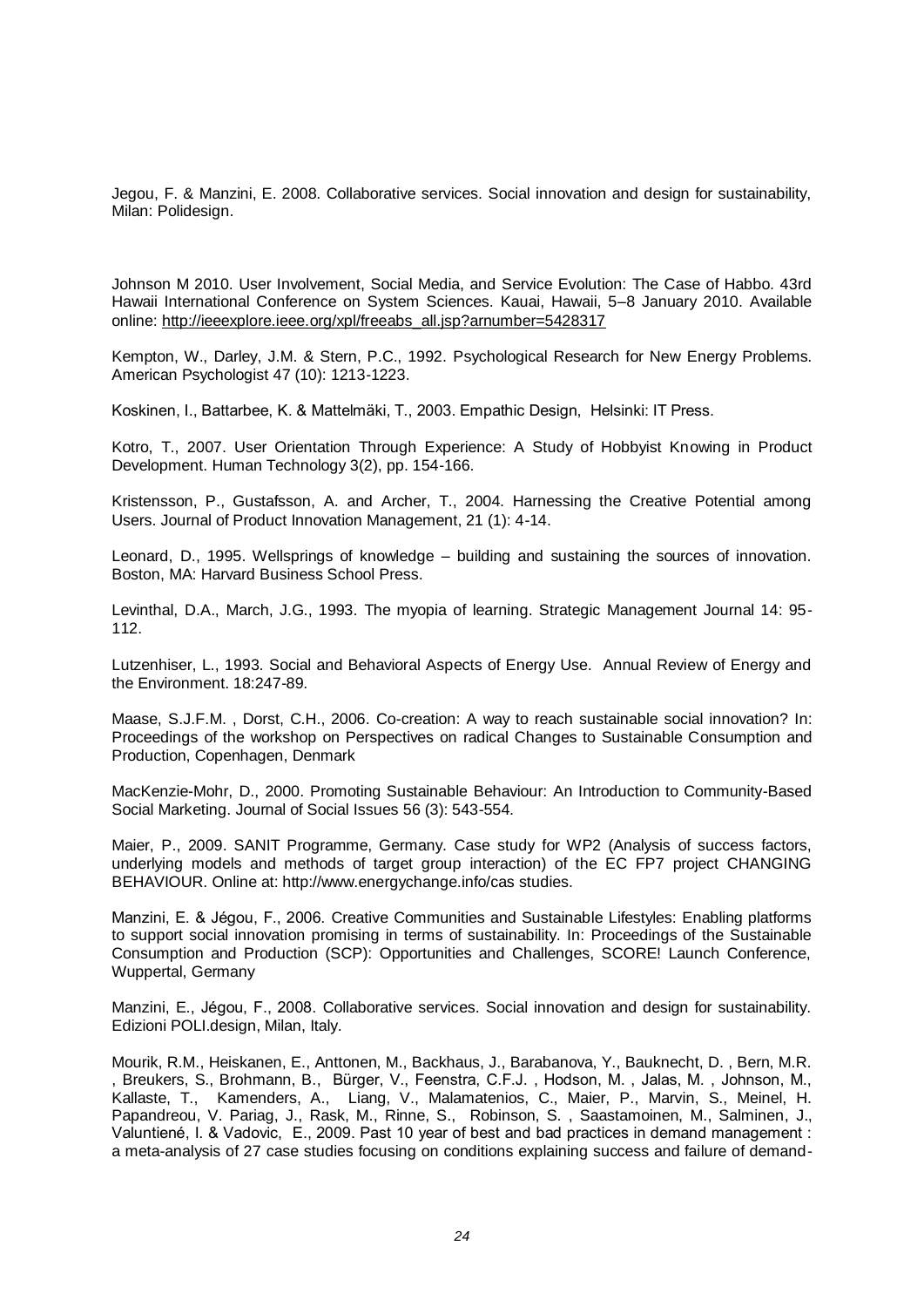Jegou, F. & Manzini, E. 2008. Collaborative services. Social innovation and design for sustainability, Milan: Polidesign.

Johnson M 2010. User Involvement, Social Media, and Service Evolution: The Case of Habbo. 43rd Hawaii International Conference on System Sciences. Kauai, Hawaii, 5–8 January 2010. Available online: [http://ieeexplore.ieee.org/xpl/freeabs\\_all.jsp?arnumber=5428317](http://ieeexplore.ieee.org/xpl/freeabs_all.jsp?arnumber=5428317)

Kempton, W., Darley, J.M. & Stern, P.C., 1992. Psychological Research for New Energy Problems. American Psychologist 47 (10): 1213-1223.

Koskinen, I., Battarbee, K. & Mattelmäki, T., 2003. Empathic Design, Helsinki: IT Press.

Kotro, T., 2007. User Orientation Through Experience: A Study of Hobbyist Knowing in Product Development. Human Technology 3(2), pp. 154-166.

Kristensson, P., Gustafsson, A. and Archer, T., 2004. Harnessing the Creative Potential among Users. Journal of Product Innovation Management, 21 (1): 4-14.

Leonard, D., 1995. Wellsprings of knowledge – building and sustaining the sources of innovation. Boston, MA: Harvard Business School Press.

Levinthal, D.A., March, J.G., 1993. The myopia of learning. Strategic Management Journal 14: 95- 112.

Lutzenhiser, L., 1993. Social and Behavioral Aspects of Energy Use. Annual Review of Energy and the Environment. 18:247-89.

Maase, S.J.F.M. , Dorst, C.H., 2006. Co-creation: A way to reach sustainable social innovation? In: Proceedings of the workshop on Perspectives on radical Changes to Sustainable Consumption and Production, Copenhagen, Denmark

MacKenzie-Mohr, D., 2000. Promoting Sustainable Behaviour: An Introduction to Community-Based Social Marketing. Journal of Social Issues 56 (3): 543-554.

Maier, P., 2009. SANIT Programme, Germany. Case study for WP2 (Analysis of success factors, underlying models and methods of target group interaction) of the EC FP7 project CHANGING BEHAVIOUR. Online at: http://www.energychange.info/cas studies.

Manzini, E. & Jégou, F., 2006. Creative Communities and Sustainable Lifestyles: Enabling platforms to support social innovation promising in terms of sustainability. In: Proceedings of the Sustainable Consumption and Production (SCP): Opportunities and Challenges, SCORE! Launch Conference, Wuppertal, Germany

Manzini, E., Jégou, F., 2008. Collaborative services. Social innovation and design for sustainability. Edizioni POLI.design, Milan, Italy.

Mourik, R.M., Heiskanen, E., Anttonen, M., Backhaus, J., Barabanova, Y., Bauknecht, D. , Bern, M.R. , Breukers, S., Brohmann, B., Bürger, V., Feenstra, C.F.J. , Hodson, M. , Jalas, M. , Johnson, M., Kallaste, T., Kamenders, A., Liang, V., Malamatenios, C., Maier, P., Marvin, S., Meinel, H. Papandreou, V. Pariag, J., Rask, M., Rinne, S., Robinson, S. , Saastamoinen, M., Salminen, J., Valuntiené, I. & Vadovic, E., 2009. Past 10 year of best and bad practices in demand management : a meta-analysis of 27 case studies focusing on conditions explaining success and failure of demand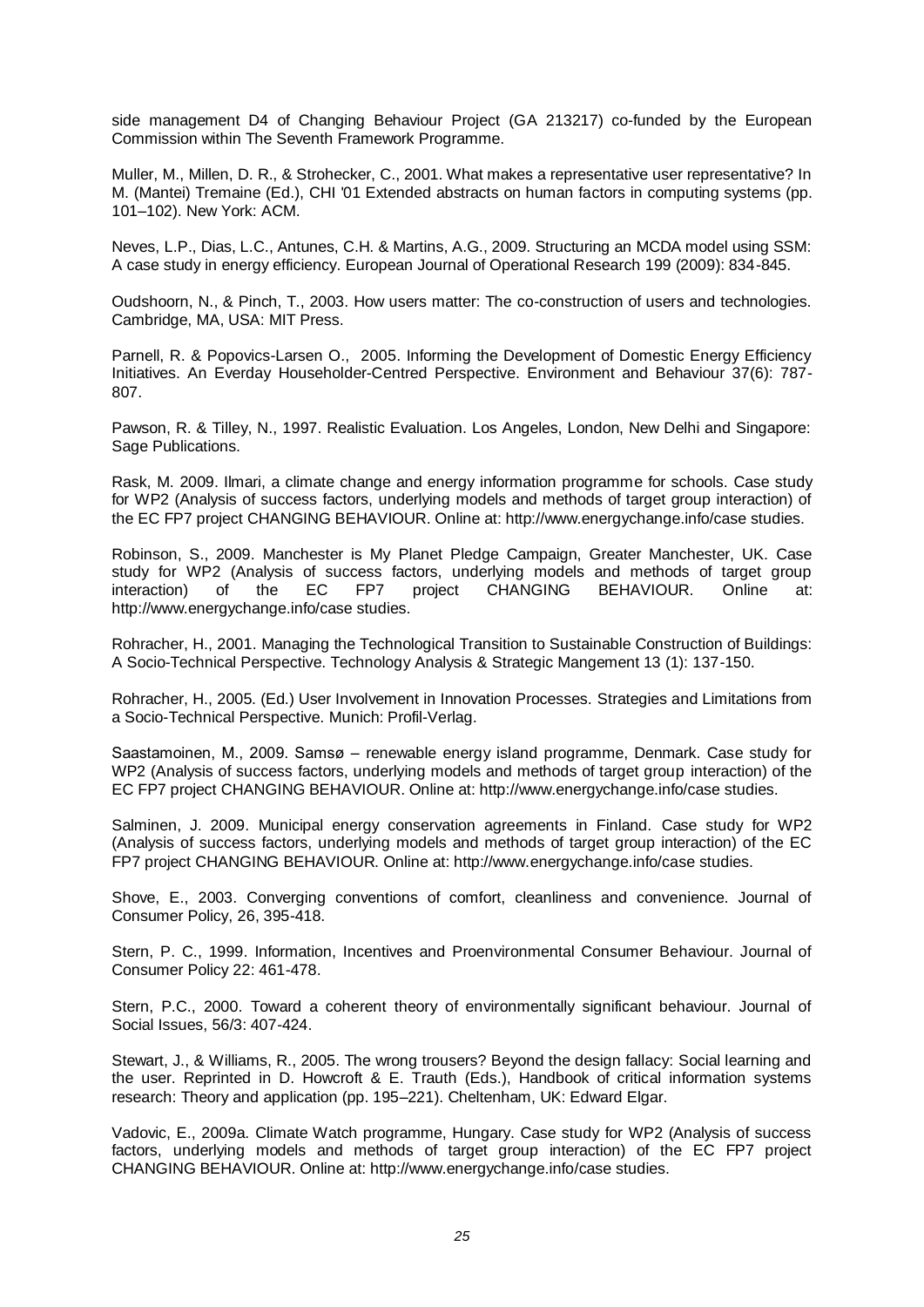side management D4 of Changing Behaviour Project (GA 213217) co-funded by the European Commission within The Seventh Framework Programme.

Muller, M., Millen, D. R., & Strohecker, C., 2001. What makes a representative user representative? In M. (Mantei) Tremaine (Ed.), CHI '01 Extended abstracts on human factors in computing systems (pp. 101–102). New York: ACM.

Neves, L.P., Dias, L.C., Antunes, C.H. & Martins, A.G., 2009. Structuring an MCDA model using SSM: A case study in energy efficiency. European Journal of Operational Research 199 (2009): 834-845.

Oudshoorn, N., & Pinch, T., 2003. How users matter: The co-construction of users and technologies. Cambridge, MA, USA: MIT Press.

Parnell, R. & Popovics-Larsen O., 2005. Informing the Development of Domestic Energy Efficiency Initiatives. An Everday Householder-Centred Perspective. Environment and Behaviour 37(6): 787- 807.

Pawson, R. & Tilley, N., 1997. Realistic Evaluation. Los Angeles, London, New Delhi and Singapore: Sage Publications.

Rask, M. 2009. Ilmari, a climate change and energy information programme for schools. Case study for WP2 (Analysis of success factors, underlying models and methods of target group interaction) of the EC FP7 project CHANGING BEHAVIOUR. Online at: http://www.energychange.info/case studies.

Robinson, S., 2009. Manchester is My Planet Pledge Campaign, Greater Manchester, UK. Case study for WP2 (Analysis of success factors, underlying models and methods of target group<br>
interaction) of the EC FP7 project CHANGING BEHAVIOUR. Online at: interaction) of the EC FP7 project CHANGING BEHAVIOUR. Online at: http://www.energychange.info/case studies.

Rohracher, H., 2001. Managing the Technological Transition to Sustainable Construction of Buildings: A Socio-Technical Perspective. Technology Analysis & Strategic Mangement 13 (1): 137-150.

Rohracher, H., 2005. (Ed.) User Involvement in Innovation Processes. Strategies and Limitations from a Socio-Technical Perspective. Munich: Profil-Verlag.

Saastamoinen, M., 2009. Samsø – renewable energy island programme, Denmark. Case study for WP2 (Analysis of success factors, underlying models and methods of target group interaction) of the EC FP7 project CHANGING BEHAVIOUR. Online at: http://www.energychange.info/case studies.

Salminen, J. 2009. Municipal energy conservation agreements in Finland. Case study for WP2 (Analysis of success factors, underlying models and methods of target group interaction) of the EC FP7 project CHANGING BEHAVIOUR. Online at: http://www.energychange.info/case studies.

Shove, E., 2003. Converging conventions of comfort, cleanliness and convenience. Journal of Consumer Policy, 26, 395-418.

Stern, P. C., 1999. Information, Incentives and Proenvironmental Consumer Behaviour. Journal of Consumer Policy 22: 461-478.

Stern, P.C., 2000. Toward a coherent theory of environmentally significant behaviour. Journal of Social Issues, 56/3: 407-424.

Stewart, J., & Williams, R., 2005. The wrong trousers? Beyond the design fallacy: Social learning and the user. Reprinted in D. Howcroft & E. Trauth (Eds.), Handbook of critical information systems research: Theory and application (pp. 195–221). Cheltenham, UK: Edward Elgar.

Vadovic, E., 2009a. Climate Watch programme, Hungary. Case study for WP2 (Analysis of success factors, underlying models and methods of target group interaction) of the EC FP7 project CHANGING BEHAVIOUR. Online at: http://www.energychange.info/case studies.